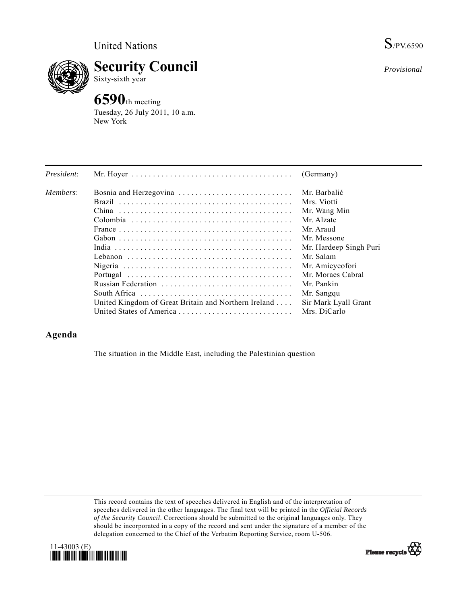

**Security Council**  Sixty-sixth year

# **6590**th meeting

Tuesday, 26 July 2011, 10 a.m. New York

| President: |                                                      | (Germany)              |
|------------|------------------------------------------------------|------------------------|
| Members:   |                                                      | Mr. Barbalić           |
|            |                                                      | Mrs. Viotti            |
|            |                                                      | Mr. Wang Min           |
|            |                                                      | Mr. Alzate             |
|            |                                                      | Mr. Araud              |
|            |                                                      | Mr. Messone            |
|            |                                                      | Mr. Hardeep Singh Puri |
|            |                                                      | Mr. Salam              |
|            |                                                      | Mr. Amieyeofori        |
|            |                                                      | Mr. Moraes Cabral      |
|            | Russian Federation                                   | Mr. Pankin             |
|            |                                                      | Mr. Sangqu             |
|            | United Kingdom of Great Britain and Northern Ireland | Sir Mark Lyall Grant   |
|            |                                                      | Mrs. DiCarlo           |

# **Agenda**

The situation in the Middle East, including the Palestinian question

This record contains the text of speeches delivered in English and of the interpretation of speeches delivered in the other languages. The final text will be printed in the *Official Records of the Security Council*. Corrections should be submitted to the original languages only. They should be incorporated in a copy of the record and sent under the signature of a member of the delegation concerned to the Chief of the Verbatim Reporting Service, room U-506.





*Provisional*

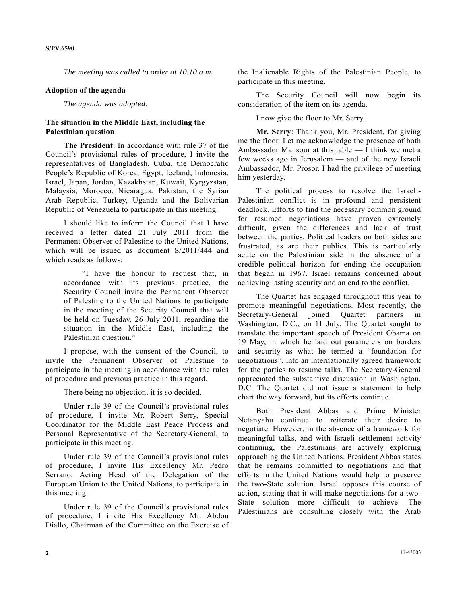*The meeting was called to order at 10.10 a.m.* 

#### **Adoption of the agenda**

*The agenda was adopted*.

## **The situation in the Middle East, including the Palestinian question**

**The President**: In accordance with rule 37 of the Council's provisional rules of procedure, I invite the representatives of Bangladesh, Cuba, the Democratic People's Republic of Korea, Egypt, Iceland, Indonesia, Israel, Japan, Jordan, Kazakhstan, Kuwait, Kyrgyzstan, Malaysia, Morocco, Nicaragua, Pakistan, the Syrian Arab Republic, Turkey, Uganda and the Bolivarian Republic of Venezuela to participate in this meeting.

 I should like to inform the Council that I have received a letter dated 21 July 2011 from the Permanent Observer of Palestine to the United Nations, which will be issued as document S/2011/444 and which reads as follows:

 "I have the honour to request that, in accordance with its previous practice, the Security Council invite the Permanent Observer of Palestine to the United Nations to participate in the meeting of the Security Council that will be held on Tuesday, 26 July 2011, regarding the situation in the Middle East, including the Palestinian question."

 I propose, with the consent of the Council, to invite the Permanent Observer of Palestine to participate in the meeting in accordance with the rules of procedure and previous practice in this regard.

There being no objection, it is so decided.

 Under rule 39 of the Council's provisional rules of procedure, I invite Mr. Robert Serry, Special Coordinator for the Middle East Peace Process and Personal Representative of the Secretary-General, to participate in this meeting.

 Under rule 39 of the Council's provisional rules of procedure, I invite His Excellency Mr. Pedro Serrano, Acting Head of the Delegation of the European Union to the United Nations, to participate in this meeting.

 Under rule 39 of the Council's provisional rules of procedure, I invite His Excellency Mr. Abdou Diallo, Chairman of the Committee on the Exercise of the Inalienable Rights of the Palestinian People, to participate in this meeting.

 The Security Council will now begin its consideration of the item on its agenda.

I now give the floor to Mr. Serry.

**Mr. Serry**: Thank you, Mr. President, for giving me the floor. Let me acknowledge the presence of both Ambassador Mansour at this table — I think we met a few weeks ago in Jerusalem — and of the new Israeli Ambassador, Mr. Prosor. I had the privilege of meeting him yesterday.

 The political process to resolve the Israeli-Palestinian conflict is in profound and persistent deadlock. Efforts to find the necessary common ground for resumed negotiations have proven extremely difficult, given the differences and lack of trust between the parties. Political leaders on both sides are frustrated, as are their publics. This is particularly acute on the Palestinian side in the absence of a credible political horizon for ending the occupation that began in 1967. Israel remains concerned about achieving lasting security and an end to the conflict.

 The Quartet has engaged throughout this year to promote meaningful negotiations. Most recently, the Secretary-General joined Quartet partners in Washington, D.C., on 11 July. The Quartet sought to translate the important speech of President Obama on 19 May, in which he laid out parameters on borders and security as what he termed a "foundation for negotiations", into an internationally agreed framework for the parties to resume talks. The Secretary-General appreciated the substantive discussion in Washington, D.C. The Quartet did not issue a statement to help chart the way forward, but its efforts continue.

 Both President Abbas and Prime Minister Netanyahu continue to reiterate their desire to negotiate. However, in the absence of a framework for meaningful talks, and with Israeli settlement activity continuing, the Palestinians are actively exploring approaching the United Nations. President Abbas states that he remains committed to negotiations and that efforts in the United Nations would help to preserve the two-State solution. Israel opposes this course of action, stating that it will make negotiations for a two-State solution more difficult to achieve. The Palestinians are consulting closely with the Arab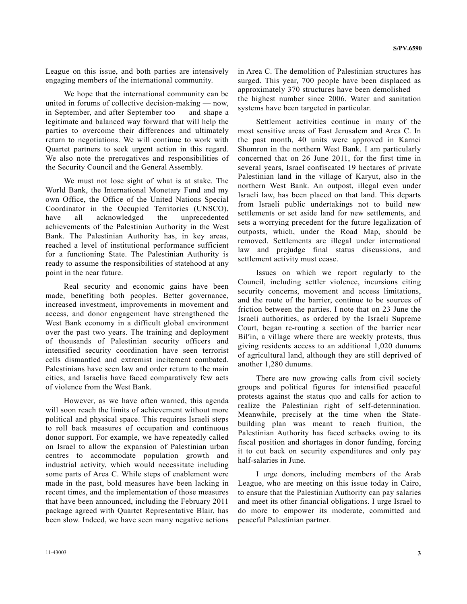League on this issue, and both parties are intensively engaging members of the international community.

 We hope that the international community can be united in forums of collective decision-making — now, in September, and after September too — and shape a legitimate and balanced way forward that will help the parties to overcome their differences and ultimately return to negotiations. We will continue to work with Quartet partners to seek urgent action in this regard. We also note the prerogatives and responsibilities of the Security Council and the General Assembly.

 We must not lose sight of what is at stake. The World Bank, the International Monetary Fund and my own Office, the Office of the United Nations Special Coordinator in the Occupied Territories (UNSCO), have all acknowledged the unprecedented achievements of the Palestinian Authority in the West Bank. The Palestinian Authority has, in key areas, reached a level of institutional performance sufficient for a functioning State. The Palestinian Authority is ready to assume the responsibilities of statehood at any point in the near future.

 Real security and economic gains have been made, benefiting both peoples. Better governance, increased investment, improvements in movement and access, and donor engagement have strengthened the West Bank economy in a difficult global environment over the past two years. The training and deployment of thousands of Palestinian security officers and intensified security coordination have seen terrorist cells dismantled and extremist incitement combated. Palestinians have seen law and order return to the main cities, and Israelis have faced comparatively few acts of violence from the West Bank.

 However, as we have often warned, this agenda will soon reach the limits of achievement without more political and physical space. This requires Israeli steps to roll back measures of occupation and continuous donor support. For example, we have repeatedly called on Israel to allow the expansion of Palestinian urban centres to accommodate population growth and industrial activity, which would necessitate including some parts of Area C. While steps of enablement were made in the past, bold measures have been lacking in recent times, and the implementation of those measures that have been announced, including the February 2011 package agreed with Quartet Representative Blair, has been slow. Indeed, we have seen many negative actions

in Area C. The demolition of Palestinian structures has surged. This year, 700 people have been displaced as approximately 370 structures have been demolished the highest number since 2006. Water and sanitation systems have been targeted in particular.

 Settlement activities continue in many of the most sensitive areas of East Jerusalem and Area C. In the past month, 40 units were approved in Karnei Shomron in the northern West Bank. I am particularly concerned that on 26 June 2011, for the first time in several years, Israel confiscated 19 hectares of private Palestinian land in the village of Karyut, also in the northern West Bank. An outpost, illegal even under Israeli law, has been placed on that land. This departs from Israeli public undertakings not to build new settlements or set aside land for new settlements, and sets a worrying precedent for the future legalization of outposts, which, under the Road Map, should be removed. Settlements are illegal under international law and prejudge final status discussions, and settlement activity must cease.

 Issues on which we report regularly to the Council, including settler violence, incursions citing security concerns, movement and access limitations, and the route of the barrier, continue to be sources of friction between the parties. I note that on 23 June the Israeli authorities, as ordered by the Israeli Supreme Court, began re-routing a section of the barrier near Bil′in, a village where there are weekly protests, thus giving residents access to an additional 1,020 dunums of agricultural land, although they are still deprived of another 1,280 dunums.

 There are now growing calls from civil society groups and political figures for intensified peaceful protests against the status quo and calls for action to realize the Palestinian right of self-determination. Meanwhile, precisely at the time when the Statebuilding plan was meant to reach fruition, the Palestinian Authority has faced setbacks owing to its fiscal position and shortages in donor funding, forcing it to cut back on security expenditures and only pay half-salaries in June.

 I urge donors, including members of the Arab League, who are meeting on this issue today in Cairo, to ensure that the Palestinian Authority can pay salaries and meet its other financial obligations. I urge Israel to do more to empower its moderate, committed and peaceful Palestinian partner.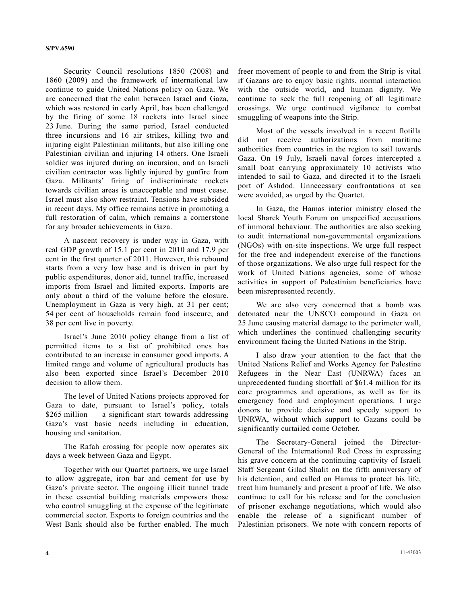Security Council resolutions 1850 (2008) and 1860 (2009) and the framework of international law continue to guide United Nations policy on Gaza. We are concerned that the calm between Israel and Gaza, which was restored in early April, has been challenged by the firing of some 18 rockets into Israel since 23 June. During the same period, Israel conducted three incursions and 16 air strikes, killing two and injuring eight Palestinian militants, but also killing one Palestinian civilian and injuring 14 others. One Israeli soldier was injured during an incursion, and an Israeli civilian contractor was lightly injured by gunfire from Gaza. Militants' firing of indiscriminate rockets towards civilian areas is unacceptable and must cease. Israel must also show restraint. Tensions have subsided in recent days. My office remains active in promoting a full restoration of calm, which remains a cornerstone for any broader achievements in Gaza.

 A nascent recovery is under way in Gaza, with real GDP growth of 15.1 per cent in 2010 and 17.9 per cent in the first quarter of 2011. However, this rebound starts from a very low base and is driven in part by public expenditures, donor aid, tunnel traffic, increased imports from Israel and limited exports. Imports are only about a third of the volume before the closure. Unemployment in Gaza is very high, at 31 per cent; 54 per cent of households remain food insecure; and 38 per cent live in poverty.

 Israel's June 2010 policy change from a list of permitted items to a list of prohibited ones has contributed to an increase in consumer good imports. A limited range and volume of agricultural products has also been exported since Israel's December 2010 decision to allow them.

 The level of United Nations projects approved for Gaza to date, pursuant to Israel's policy, totals  $$265$  million — a significant start towards addressing Gaza's vast basic needs including in education, housing and sanitation.

 The Rafah crossing for people now operates six days a week between Gaza and Egypt.

 Together with our Quartet partners, we urge Israel to allow aggregate, iron bar and cement for use by Gaza's private sector. The ongoing illicit tunnel trade in these essential building materials empowers those who control smuggling at the expense of the legitimate commercial sector. Exports to foreign countries and the West Bank should also be further enabled. The much freer movement of people to and from the Strip is vital if Gazans are to enjoy basic rights, normal interaction with the outside world, and human dignity. We continue to seek the full reopening of all legitimate crossings. We urge continued vigilance to combat smuggling of weapons into the Strip.

 Most of the vessels involved in a recent flotilla did not receive authorizations from maritime authorities from countries in the region to sail towards Gaza. On 19 July, Israeli naval forces intercepted a small boat carrying approximately 10 activists who intended to sail to Gaza, and directed it to the Israeli port of Ashdod. Unnecessary confrontations at sea were avoided, as urged by the Quartet.

 In Gaza, the Hamas interior ministry closed the local Sharek Youth Forum on unspecified accusations of immoral behaviour. The authorities are also seeking to audit international non-governmental organizations (NGOs) with on-site inspections. We urge full respect for the free and independent exercise of the functions of those organizations. We also urge full respect for the work of United Nations agencies, some of whose activities in support of Palestinian beneficiaries have been misrepresented recently.

 We are also very concerned that a bomb was detonated near the UNSCO compound in Gaza on 25 June causing material damage to the perimeter wall, which underlines the continued challenging security environment facing the United Nations in the Strip.

 I also draw your attention to the fact that the United Nations Relief and Works Agency for Palestine Refugees in the Near East (UNRWA) faces an unprecedented funding shortfall of \$61.4 million for its core programmes and operations, as well as for its emergency food and employment operations. I urge donors to provide decisive and speedy support to UNRWA, without which support to Gazans could be significantly curtailed come October.

 The Secretary-General joined the Director-General of the International Red Cross in expressing his grave concern at the continuing captivity of Israeli Staff Sergeant Gilad Shalit on the fifth anniversary of his detention, and called on Hamas to protect his life, treat him humanely and present a proof of life. We also continue to call for his release and for the conclusion of prisoner exchange negotiations, which would also enable the release of a significant number of Palestinian prisoners. We note with concern reports of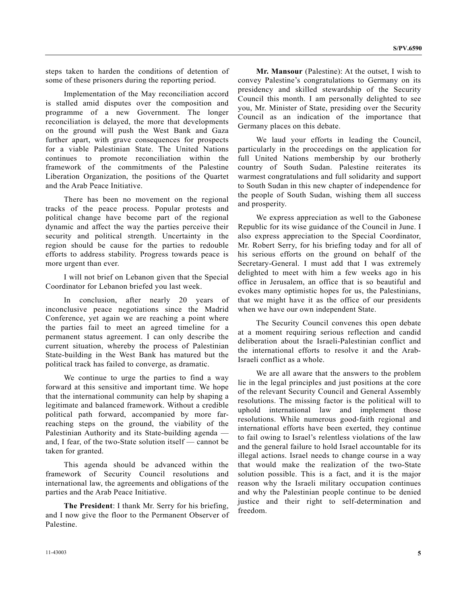steps taken to harden the conditions of detention of some of these prisoners during the reporting period.

 Implementation of the May reconciliation accord is stalled amid disputes over the composition and programme of a new Government. The longer reconciliation is delayed, the more that developments on the ground will push the West Bank and Gaza further apart, with grave consequences for prospects for a viable Palestinian State. The United Nations continues to promote reconciliation within the framework of the commitments of the Palestine Liberation Organization, the positions of the Quartet and the Arab Peace Initiative.

 There has been no movement on the regional tracks of the peace process. Popular protests and political change have become part of the regional dynamic and affect the way the parties perceive their security and political strength. Uncertainty in the region should be cause for the parties to redouble efforts to address stability. Progress towards peace is more urgent than ever.

 I will not brief on Lebanon given that the Special Coordinator for Lebanon briefed you last week.

 In conclusion, after nearly 20 years of inconclusive peace negotiations since the Madrid Conference, yet again we are reaching a point where the parties fail to meet an agreed timeline for a permanent status agreement. I can only describe the current situation, whereby the process of Palestinian State-building in the West Bank has matured but the political track has failed to converge, as dramatic.

 We continue to urge the parties to find a way forward at this sensitive and important time. We hope that the international community can help by shaping a legitimate and balanced framework. Without a credible political path forward, accompanied by more farreaching steps on the ground, the viability of the Palestinian Authority and its State-building agenda and, I fear, of the two-State solution itself — cannot be taken for granted.

 This agenda should be advanced within the framework of Security Council resolutions and international law, the agreements and obligations of the parties and the Arab Peace Initiative.

**The President**: I thank Mr. Serry for his briefing, and I now give the floor to the Permanent Observer of Palestine.

**Mr. Mansour** (Palestine): At the outset, I wish to convey Palestine's congratulations to Germany on its presidency and skilled stewardship of the Security Council this month. I am personally delighted to see you, Mr. Minister of State, presiding over the Security Council as an indication of the importance that Germany places on this debate.

 We laud your efforts in leading the Council, particularly in the proceedings on the application for full United Nations membership by our brotherly country of South Sudan. Palestine reiterates its warmest congratulations and full solidarity and support to South Sudan in this new chapter of independence for the people of South Sudan, wishing them all success and prosperity.

 We express appreciation as well to the Gabonese Republic for its wise guidance of the Council in June. I also express appreciation to the Special Coordinator, Mr. Robert Serry, for his briefing today and for all of his serious efforts on the ground on behalf of the Secretary-General. I must add that I was extremely delighted to meet with him a few weeks ago in his office in Jerusalem, an office that is so beautiful and evokes many optimistic hopes for us, the Palestinians, that we might have it as the office of our presidents when we have our own independent State.

 The Security Council convenes this open debate at a moment requiring serious reflection and candid deliberation about the Israeli-Palestinian conflict and the international efforts to resolve it and the Arab-Israeli conflict as a whole.

 We are all aware that the answers to the problem lie in the legal principles and just positions at the core of the relevant Security Council and General Assembly resolutions. The missing factor is the political will to uphold international law and implement those resolutions. While numerous good-faith regional and international efforts have been exerted, they continue to fail owing to Israel's relentless violations of the law and the general failure to hold Israel accountable for its illegal actions. Israel needs to change course in a way that would make the realization of the two-State solution possible. This is a fact, and it is the major reason why the Israeli military occupation continues and why the Palestinian people continue to be denied justice and their right to self-determination and freedom.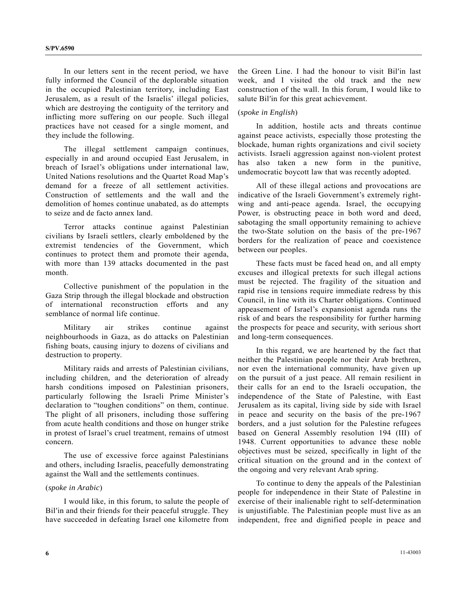In our letters sent in the recent period, we have fully informed the Council of the deplorable situation in the occupied Palestinian territory, including East Jerusalem, as a result of the Israelis' illegal policies, which are destroying the contiguity of the territory and inflicting more suffering on our people. Such illegal practices have not ceased for a single moment, and they include the following.

 The illegal settlement campaign continues, especially in and around occupied East Jerusalem, in breach of Israel's obligations under international law, United Nations resolutions and the Quartet Road Map's demand for a freeze of all settlement activities. Construction of settlements and the wall and the demolition of homes continue unabated, as do attempts to seize and de facto annex land.

 Terror attacks continue against Palestinian civilians by Israeli settlers, clearly emboldened by the extremist tendencies of the Government, which continues to protect them and promote their agenda, with more than 139 attacks documented in the past month.

 Collective punishment of the population in the Gaza Strip through the illegal blockade and obstruction of international reconstruction efforts and any semblance of normal life continue.

 Military air strikes continue against neighbourhoods in Gaza, as do attacks on Palestinian fishing boats, causing injury to dozens of civilians and destruction to property.

 Military raids and arrests of Palestinian civilians, including children, and the deterioration of already harsh conditions imposed on Palestinian prisoners, particularly following the Israeli Prime Minister's declaration to "toughen conditions" on them, continue. The plight of all prisoners, including those suffering from acute health conditions and those on hunger strike in protest of Israel's cruel treatment, remains of utmost concern.

 The use of excessive force against Palestinians and others, including Israelis, peacefully demonstrating against the Wall and the settlements continues.

#### (*spoke in Arabic*)

 I would like, in this forum, to salute the people of Bil′in and their friends for their peaceful struggle. They have succeeded in defeating Israel one kilometre from

the Green Line. I had the honour to visit Bil′in last week, and I visited the old track and the new construction of the wall. In this forum, I would like to salute Bil′in for this great achievement.

## (*spoke in English*)

 In addition, hostile acts and threats continue against peace activists, especially those protesting the blockade, human rights organizations and civil society activists. Israeli aggression against non-violent protest has also taken a new form in the punitive, undemocratic boycott law that was recently adopted.

 All of these illegal actions and provocations are indicative of the Israeli Government's extremely rightwing and anti-peace agenda. Israel, the occupying Power, is obstructing peace in both word and deed, sabotaging the small opportunity remaining to achieve the two-State solution on the basis of the pre-1967 borders for the realization of peace and coexistence between our peoples.

 These facts must be faced head on, and all empty excuses and illogical pretexts for such illegal actions must be rejected. The fragility of the situation and rapid rise in tensions require immediate redress by this Council, in line with its Charter obligations. Continued appeasement of Israel's expansionist agenda runs the risk of and bears the responsibility for further harming the prospects for peace and security, with serious short and long-term consequences.

 In this regard, we are heartened by the fact that neither the Palestinian people nor their Arab brethren, nor even the international community, have given up on the pursuit of a just peace. All remain resilient in their calls for an end to the Israeli occupation, the independence of the State of Palestine, with East Jerusalem as its capital, living side by side with Israel in peace and security on the basis of the pre-1967 borders, and a just solution for the Palestine refugees based on General Assembly resolution 194 (III) of 1948. Current opportunities to advance these noble objectives must be seized, specifically in light of the critical situation on the ground and in the context of the ongoing and very relevant Arab spring.

 To continue to deny the appeals of the Palestinian people for independence in their State of Palestine in exercise of their inalienable right to self-determination is unjustifiable. The Palestinian people must live as an independent, free and dignified people in peace and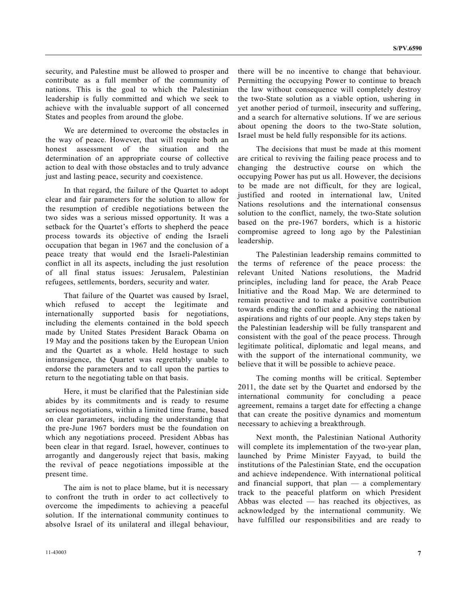security, and Palestine must be allowed to prosper and contribute as a full member of the community of nations. This is the goal to which the Palestinian leadership is fully committed and which we seek to achieve with the invaluable support of all concerned States and peoples from around the globe.

 We are determined to overcome the obstacles in the way of peace. However, that will require both an honest assessment of the situation and the determination of an appropriate course of collective action to deal with those obstacles and to truly advance just and lasting peace, security and coexistence.

 In that regard, the failure of the Quartet to adopt clear and fair parameters for the solution to allow for the resumption of credible negotiations between the two sides was a serious missed opportunity. It was a setback for the Quartet's efforts to shepherd the peace process towards its objective of ending the Israeli occupation that began in 1967 and the conclusion of a peace treaty that would end the Israeli-Palestinian conflict in all its aspects, including the just resolution of all final status issues: Jerusalem, Palestinian refugees, settlements, borders, security and water.

 That failure of the Quartet was caused by Israel, which refused to accept the legitimate and internationally supported basis for negotiations, including the elements contained in the bold speech made by United States President Barack Obama on 19 May and the positions taken by the European Union and the Quartet as a whole. Held hostage to such intransigence, the Quartet was regrettably unable to endorse the parameters and to call upon the parties to return to the negotiating table on that basis.

 Here, it must be clarified that the Palestinian side abides by its commitments and is ready to resume serious negotiations, within a limited time frame, based on clear parameters, including the understanding that the pre-June 1967 borders must be the foundation on which any negotiations proceed. President Abbas has been clear in that regard. Israel, however, continues to arrogantly and dangerously reject that basis, making the revival of peace negotiations impossible at the present time.

 The aim is not to place blame, but it is necessary to confront the truth in order to act collectively to overcome the impediments to achieving a peaceful solution. If the international community continues to absolve Israel of its unilateral and illegal behaviour,

there will be no incentive to change that behaviour. Permitting the occupying Power to continue to breach the law without consequence will completely destroy the two-State solution as a viable option, ushering in yet another period of turmoil, insecurity and suffering, and a search for alternative solutions. If we are serious about opening the doors to the two-State solution, Israel must be held fully responsible for its actions.

 The decisions that must be made at this moment are critical to reviving the failing peace process and to changing the destructive course on which the occupying Power has put us all. However, the decisions to be made are not difficult, for they are logical, justified and rooted in international law, United Nations resolutions and the international consensus solution to the conflict, namely, the two-State solution based on the pre-1967 borders, which is a historic compromise agreed to long ago by the Palestinian leadership.

 The Palestinian leadership remains committed to the terms of reference of the peace process: the relevant United Nations resolutions, the Madrid principles, including land for peace, the Arab Peace Initiative and the Road Map. We are determined to remain proactive and to make a positive contribution towards ending the conflict and achieving the national aspirations and rights of our people. Any steps taken by the Palestinian leadership will be fully transparent and consistent with the goal of the peace process. Through legitimate political, diplomatic and legal means, and with the support of the international community, we believe that it will be possible to achieve peace.

 The coming months will be critical. September 2011, the date set by the Quartet and endorsed by the international community for concluding a peace agreement, remains a target date for effecting a change that can create the positive dynamics and momentum necessary to achieving a breakthrough.

 Next month, the Palestinian National Authority will complete its implementation of the two-year plan, launched by Prime Minister Fayyad, to build the institutions of the Palestinian State, end the occupation and achieve independence. With international political and financial support, that  $plan - a$  complementary track to the peaceful platform on which President Abbas was elected — has reached its objectives, as acknowledged by the international community. We have fulfilled our responsibilities and are ready to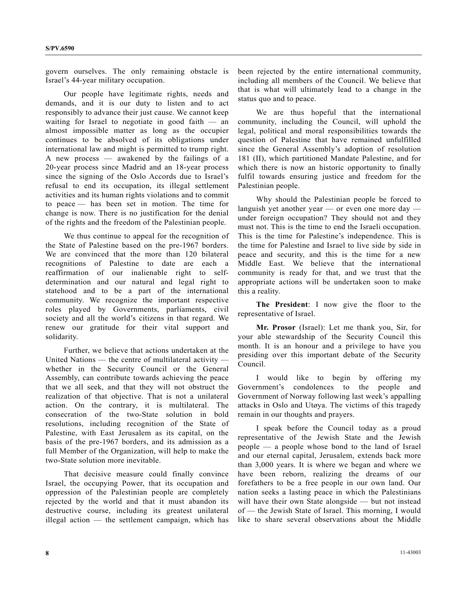govern ourselves. The only remaining obstacle is Israel's 44-year military occupation.

 Our people have legitimate rights, needs and demands, and it is our duty to listen and to act responsibly to advance their just cause. We cannot keep waiting for Israel to negotiate in good faith — an almost impossible matter as long as the occupier continues to be absolved of its obligations under international law and might is permitted to trump right. A new process — awakened by the failings of a 20-year process since Madrid and an 18-year process since the signing of the Oslo Accords due to Israel's refusal to end its occupation, its illegal settlement activities and its human rights violations and to commit to peace — has been set in motion. The time for change is now. There is no justification for the denial of the rights and the freedom of the Palestinian people.

 We thus continue to appeal for the recognition of the State of Palestine based on the pre-1967 borders. We are convinced that the more than 120 bilateral recognitions of Palestine to date are each a reaffirmation of our inalienable right to selfdetermination and our natural and legal right to statehood and to be a part of the international community. We recognize the important respective roles played by Governments, parliaments, civil society and all the world's citizens in that regard. We renew our gratitude for their vital support and solidarity.

 Further, we believe that actions undertaken at the United Nations — the centre of multilateral activity whether in the Security Council or the General Assembly, can contribute towards achieving the peace that we all seek, and that they will not obstruct the realization of that objective. That is not a unilateral action. On the contrary, it is multilateral. The consecration of the two-State solution in bold resolutions, including recognition of the State of Palestine, with East Jerusalem as its capital, on the basis of the pre-1967 borders, and its admission as a full Member of the Organization, will help to make the two-State solution more inevitable.

 That decisive measure could finally convince Israel, the occupying Power, that its occupation and oppression of the Palestinian people are completely rejected by the world and that it must abandon its destructive course, including its greatest unilateral illegal action — the settlement campaign, which has been rejected by the entire international community, including all members of the Council. We believe that that is what will ultimately lead to a change in the status quo and to peace.

 We are thus hopeful that the international community, including the Council, will uphold the legal, political and moral responsibilities towards the question of Palestine that have remained unfulfilled since the General Assembly's adoption of resolution 181 (II), which partitioned Mandate Palestine, and for which there is now an historic opportunity to finally fulfil towards ensuring justice and freedom for the Palestinian people.

 Why should the Palestinian people be forced to languish yet another year — or even one more day under foreign occupation? They should not and they must not. This is the time to end the Israeli occupation. This is the time for Palestine's independence. This is the time for Palestine and Israel to live side by side in peace and security, and this is the time for a new Middle East. We believe that the international community is ready for that, and we trust that the appropriate actions will be undertaken soon to make this a reality.

**The President**: I now give the floor to the representative of Israel.

**Mr. Prosor** (Israel): Let me thank you, Sir, for your able stewardship of the Security Council this month. It is an honour and a privilege to have you presiding over this important debate of the Security Council.

 I would like to begin by offering my Government's condolences to the people and Government of Norway following last week's appalling attacks in Oslo and Utøya. The victims of this tragedy remain in our thoughts and prayers.

 I speak before the Council today as a proud representative of the Jewish State and the Jewish people — a people whose bond to the land of Israel and our eternal capital, Jerusalem, extends back more than 3,000 years. It is where we began and where we have been reborn, realizing the dreams of our forefathers to be a free people in our own land. Our nation seeks a lasting peace in which the Palestinians will have their own State alongside — but not instead of — the Jewish State of Israel. This morning, I would like to share several observations about the Middle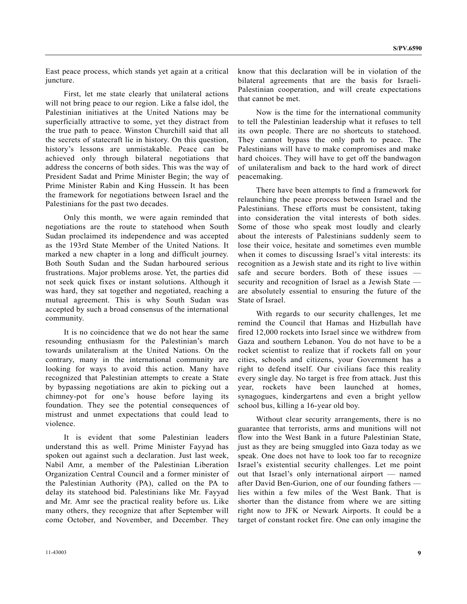East peace process, which stands yet again at a critical juncture.

 First, let me state clearly that unilateral actions will not bring peace to our region. Like a false idol, the Palestinian initiatives at the United Nations may be superficially attractive to some, yet they distract from the true path to peace. Winston Churchill said that all the secrets of statecraft lie in history. On this question, history's lessons are unmistakable. Peace can be achieved only through bilateral negotiations that address the concerns of both sides. This was the way of President Sadat and Prime Minister Begin; the way of Prime Minister Rabin and King Hussein. It has been the framework for negotiations between Israel and the Palestinians for the past two decades.

 Only this month, we were again reminded that negotiations are the route to statehood when South Sudan proclaimed its independence and was accepted as the 193rd State Member of the United Nations. It marked a new chapter in a long and difficult journey. Both South Sudan and the Sudan harboured serious frustrations. Major problems arose. Yet, the parties did not seek quick fixes or instant solutions. Although it was hard, they sat together and negotiated, reaching a mutual agreement. This is why South Sudan was accepted by such a broad consensus of the international community.

 It is no coincidence that we do not hear the same resounding enthusiasm for the Palestinian's march towards unilateralism at the United Nations. On the contrary, many in the international community are looking for ways to avoid this action. Many have recognized that Palestinian attempts to create a State by bypassing negotiations are akin to picking out a chimney-pot for one's house before laying its foundation. They see the potential consequences of mistrust and unmet expectations that could lead to violence.

 It is evident that some Palestinian leaders understand this as well. Prime Minister Fayyad has spoken out against such a declaration. Just last week, Nabil Amr, a member of the Palestinian Liberation Organization Central Council and a former minister of the Palestinian Authority (PA), called on the PA to delay its statehood bid. Palestinians like Mr. Fayyad and Mr. Amr see the practical reality before us. Like many others, they recognize that after September will come October, and November, and December. They

know that this declaration will be in violation of the bilateral agreements that are the basis for Israeli-Palestinian cooperation, and will create expectations that cannot be met.

 Now is the time for the international community to tell the Palestinian leadership what it refuses to tell its own people. There are no shortcuts to statehood. They cannot bypass the only path to peace. The Palestinians will have to make compromises and make hard choices. They will have to get off the bandwagon of unilateralism and back to the hard work of direct peacemaking.

 There have been attempts to find a framework for relaunching the peace process between Israel and the Palestinians. These efforts must be consistent, taking into consideration the vital interests of both sides. Some of those who speak most loudly and clearly about the interests of Palestinians suddenly seem to lose their voice, hesitate and sometimes even mumble when it comes to discussing Israel's vital interests: its recognition as a Jewish state and its right to live within safe and secure borders. Both of these issues security and recognition of Israel as a Jewish State are absolutely essential to ensuring the future of the State of Israel.

 With regards to our security challenges, let me remind the Council that Hamas and Hizbullah have fired 12,000 rockets into Israel since we withdrew from Gaza and southern Lebanon. You do not have to be a rocket scientist to realize that if rockets fall on your cities, schools and citizens, your Government has a right to defend itself. Our civilians face this reality every single day. No target is free from attack. Just this year, rockets have been launched at homes, synagogues, kindergartens and even a bright yellow school bus, killing a 16-year old boy.

 Without clear security arrangements, there is no guarantee that terrorists, arms and munitions will not flow into the West Bank in a future Palestinian State, just as they are being smuggled into Gaza today as we speak. One does not have to look too far to recognize Israel's existential security challenges. Let me point out that Israel's only international airport — named after David Ben-Gurion, one of our founding fathers lies within a few miles of the West Bank. That is shorter than the distance from where we are sitting right now to JFK or Newark Airports. It could be a target of constant rocket fire. One can only imagine the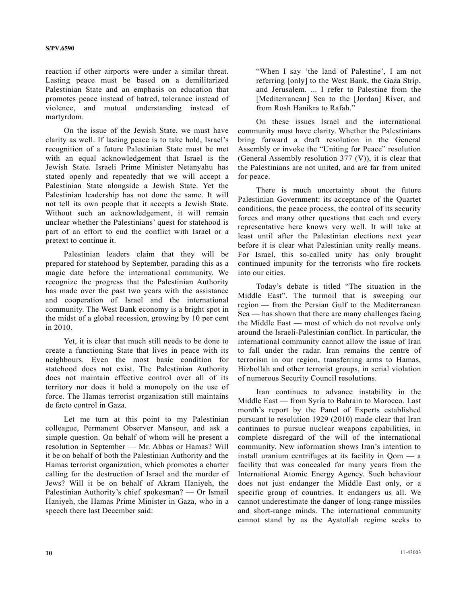reaction if other airports were under a similar threat. Lasting peace must be based on a demilitarized Palestinian State and an emphasis on education that promotes peace instead of hatred, tolerance instead of violence, and mutual understanding instead of martyrdom.

 On the issue of the Jewish State, we must have clarity as well. If lasting peace is to take hold, Israel's recognition of a future Palestinian State must be met with an equal acknowledgement that Israel is the Jewish State. Israeli Prime Minister Netanyahu has stated openly and repeatedly that we will accept a Palestinian State alongside a Jewish State. Yet the Palestinian leadership has not done the same. It will not tell its own people that it accepts a Jewish State. Without such an acknowledgement, it will remain unclear whether the Palestinians' quest for statehood is part of an effort to end the conflict with Israel or a pretext to continue it.

 Palestinian leaders claim that they will be prepared for statehood by September, parading this as a magic date before the international community. We recognize the progress that the Palestinian Authority has made over the past two years with the assistance and cooperation of Israel and the international community. The West Bank economy is a bright spot in the midst of a global recession, growing by 10 per cent in 2010.

 Yet, it is clear that much still needs to be done to create a functioning State that lives in peace with its neighbours. Even the most basic condition for statehood does not exist. The Palestinian Authority does not maintain effective control over all of its territory nor does it hold a monopoly on the use of force. The Hamas terrorist organization still maintains de facto control in Gaza.

 Let me turn at this point to my Palestinian colleague, Permanent Observer Mansour, and ask a simple question. On behalf of whom will he present a resolution in September — Mr. Abbas or Hamas? Will it be on behalf of both the Palestinian Authority and the Hamas terrorist organization, which promotes a charter calling for the destruction of Israel and the murder of Jews? Will it be on behalf of Akram Haniyeh, the Palestinian Authority's chief spokesman? — Or Ismail Haniyeh, the Hamas Prime Minister in Gaza, who in a speech there last December said:

 "When I say 'the land of Palestine', I am not referring [only] to the West Bank, the Gaza Strip, and Jerusalem. ... I refer to Palestine from the [Mediterranean] Sea to the [Jordan] River, and from Rosh Hanikra to Rafah."

 On these issues Israel and the international community must have clarity. Whether the Palestinians bring forward a draft resolution in the General Assembly or invoke the "Uniting for Peace" resolution (General Assembly resolution 377 (V)), it is clear that the Palestinians are not united, and are far from united for peace.

 There is much uncertainty about the future Palestinian Government: its acceptance of the Quartet conditions, the peace process, the control of its security forces and many other questions that each and every representative here knows very well. It will take at least until after the Palestinian elections next year before it is clear what Palestinian unity really means. For Israel, this so-called unity has only brought continued impunity for the terrorists who fire rockets into our cities.

 Today's debate is titled "The situation in the Middle East". The turmoil that is sweeping our region — from the Persian Gulf to the Mediterranean Sea — has shown that there are many challenges facing the Middle East — most of which do not revolve only around the Israeli-Palestinian conflict. In particular, the international community cannot allow the issue of Iran to fall under the radar. Iran remains the centre of terrorism in our region, transferring arms to Hamas, Hizbollah and other terrorist groups, in serial violation of numerous Security Council resolutions.

 Iran continues to advance instability in the Middle East — from Syria to Bahrain to Morocco. Last month's report by the Panel of Experts established pursuant to resolution 1929 (2010) made clear that Iran continues to pursue nuclear weapons capabilities, in complete disregard of the will of the international community. New information shows Iran's intention to install uranium centrifuges at its facility in Qom — a facility that was concealed for many years from the International Atomic Energy Agency. Such behaviour does not just endanger the Middle East only, or a specific group of countries. It endangers us all. We cannot underestimate the danger of long-range missiles and short-range minds. The international community cannot stand by as the Ayatollah regime seeks to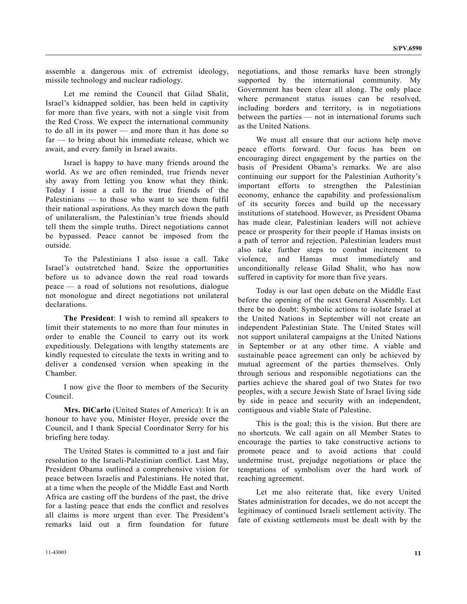assemble a dangerous mix of extremist ideology, missile technology and nuclear radiology.

 Let me remind the Council that Gilad Shalit, Israel's kidnapped soldier, has been held in captivity for more than five years, with not a single visit from the Red Cross. We expect the international community to do all in its power — and more than it has done so far — to bring about his immediate release, which we await, and every family in Israel awaits.

 Israel is happy to have many friends around the world. As we are often reminded, true friends never shy away from letting you know what they think. Today I issue a call to the true friends of the Palestinians — to those who want to see them fulfil their national aspirations. As they march down the path of unilateralism, the Palestinian's true friends should tell them the simple truths. Direct negotiations cannot be bypassed. Peace cannot be imposed from the outside.

 To the Palestinians I also issue a call. Take Israel's outstretched hand. Seize the opportunities before us to advance down the real road towards peace — a road of solutions not resolutions, dialogue not monologue and direct negotiations not unilateral declarations.

**The President**: I wish to remind all speakers to limit their statements to no more than four minutes in order to enable the Council to carry out its work expeditiously. Delegations with lengthy statements are kindly requested to circulate the texts in writing and to deliver a condensed version when speaking in the Chamber.

 I now give the floor to members of the Security Council.

**Mrs. DiCarlo** (United States of America): It is an honour to have you, Minister Hoyer, preside over the Council, and I thank Special Coordinator Serry for his briefing here today.

 The United States is committed to a just and fair resolution to the Israeli-Palestinian conflict. Last May, President Obama outlined a comprehensive vision for peace between Israelis and Palestinians. He noted that, at a time when the people of the Middle East and North Africa are casting off the burdens of the past, the drive for a lasting peace that ends the conflict and resolves all claims is more urgent than ever. The President's remarks laid out a firm foundation for future

negotiations, and those remarks have been strongly supported by the international community. My Government has been clear all along. The only place where permanent status issues can be resolved, including borders and territory, is in negotiations between the parties — not in international forums such as the United Nations.

 We must all ensure that our actions help move peace efforts forward. Our focus has been on encouraging direct engagement by the parties on the basis of President Obama's remarks. We are also continuing our support for the Palestinian Authority's important efforts to strengthen the Palestinian economy, enhance the capability and professionalism of its security forces and build up the necessary institutions of statehood. However, as President Obama has made clear, Palestinian leaders will not achieve peace or prosperity for their people if Hamas insists on a path of terror and rejection. Palestinian leaders must also take further steps to combat incitement to violence, and Hamas must immediately and unconditionally release Gilad Shalit, who has now suffered in captivity for more than five years.

 Today is our last open debate on the Middle East before the opening of the next General Assembly. Let there be no doubt: Symbolic actions to isolate Israel at the United Nations in September will not create an independent Palestinian State. The United States will not support unilateral campaigns at the United Nations in September or at any other time. A viable and sustainable peace agreement can only be achieved by mutual agreement of the parties themselves. Only through serious and responsible negotiations can the parties achieve the shared goal of two States for two peoples, with a secure Jewish State of Israel living side by side in peace and security with an independent, contiguous and viable State of Palestine.

 This is the goal; this is the vision. But there are no shortcuts. We call again on all Member States to encourage the parties to take constructive actions to promote peace and to avoid actions that could undermine trust, prejudge negotiations or place the temptations of symbolism over the hard work of reaching agreement.

 Let me also reiterate that, like every United States administration for decades, we do not accept the legitimacy of continued Israeli settlement activity. The fate of existing settlements must be dealt with by the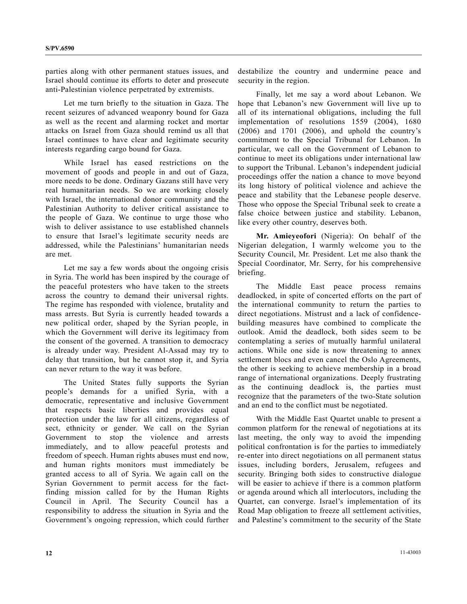parties along with other permanent statues issues, and Israel should continue its efforts to deter and prosecute anti-Palestinian violence perpetrated by extremists.

 Let me turn briefly to the situation in Gaza. The recent seizures of advanced weaponry bound for Gaza as well as the recent and alarming rocket and mortar attacks on Israel from Gaza should remind us all that Israel continues to have clear and legitimate security interests regarding cargo bound for Gaza.

 While Israel has eased restrictions on the movement of goods and people in and out of Gaza, more needs to be done. Ordinary Gazans still have very real humanitarian needs. So we are working closely with Israel, the international donor community and the Palestinian Authority to deliver critical assistance to the people of Gaza. We continue to urge those who wish to deliver assistance to use established channels to ensure that Israel's legitimate security needs are addressed, while the Palestinians' humanitarian needs are met.

 Let me say a few words about the ongoing crisis in Syria. The world has been inspired by the courage of the peaceful protesters who have taken to the streets across the country to demand their universal rights. The regime has responded with violence, brutality and mass arrests. But Syria is currently headed towards a new political order, shaped by the Syrian people, in which the Government will derive its legitimacy from the consent of the governed. A transition to democracy is already under way. President Al-Assad may try to delay that transition, but he cannot stop it, and Syria can never return to the way it was before.

 The United States fully supports the Syrian people's demands for a unified Syria, with a democratic, representative and inclusive Government that respects basic liberties and provides equal protection under the law for all citizens, regardless of sect, ethnicity or gender. We call on the Syrian Government to stop the violence and arrests immediately, and to allow peaceful protests and freedom of speech. Human rights abuses must end now, and human rights monitors must immediately be granted access to all of Syria. We again call on the Syrian Government to permit access for the factfinding mission called for by the Human Rights Council in April. The Security Council has a responsibility to address the situation in Syria and the Government's ongoing repression, which could further

destabilize the country and undermine peace and security in the region.

 Finally, let me say a word about Lebanon. We hope that Lebanon's new Government will live up to all of its international obligations, including the full implementation of resolutions 1559 (2004), 1680 (2006) and 1701 (2006), and uphold the country's commitment to the Special Tribunal for Lebanon. In particular, we call on the Government of Lebanon to continue to meet its obligations under international law to support the Tribunal. Lebanon's independent judicial proceedings offer the nation a chance to move beyond its long history of political violence and achieve the peace and stability that the Lebanese people deserve. Those who oppose the Special Tribunal seek to create a false choice between justice and stability. Lebanon, like every other country, deserves both.

**Mr. Amieyeofori** (Nigeria): On behalf of the Nigerian delegation, I warmly welcome you to the Security Council, Mr. President. Let me also thank the Special Coordinator, Mr. Serry, for his comprehensive briefing.

 The Middle East peace process remains deadlocked, in spite of concerted efforts on the part of the international community to return the parties to direct negotiations. Mistrust and a lack of confidencebuilding measures have combined to complicate the outlook. Amid the deadlock, both sides seem to be contemplating a series of mutually harmful unilateral actions. While one side is now threatening to annex settlement blocs and even cancel the Oslo Agreements, the other is seeking to achieve membership in a broad range of international organizations. Deeply frustrating as the continuing deadlock is, the parties must recognize that the parameters of the two-State solution and an end to the conflict must be negotiated.

 With the Middle East Quartet unable to present a common platform for the renewal of negotiations at its last meeting, the only way to avoid the impending political confrontation is for the parties to immediately re-enter into direct negotiations on all permanent status issues, including borders, Jerusalem, refugees and security. Bringing both sides to constructive dialogue will be easier to achieve if there is a common platform or agenda around which all interlocutors, including the Quartet, can converge. Israel's implementation of its Road Map obligation to freeze all settlement activities, and Palestine's commitment to the security of the State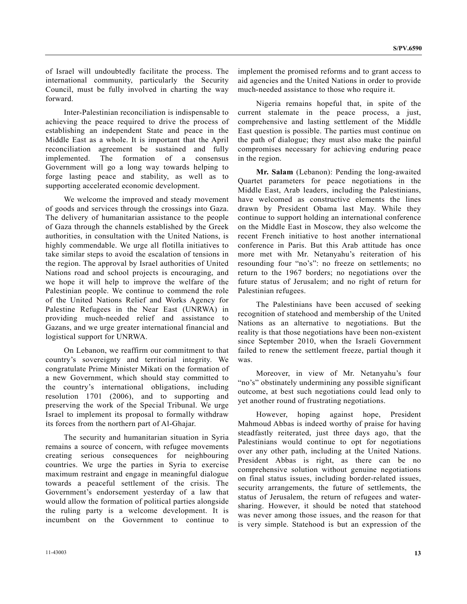of Israel will undoubtedly facilitate the process. The international community, particularly the Security Council, must be fully involved in charting the way forward.

 Inter-Palestinian reconciliation is indispensable to achieving the peace required to drive the process of establishing an independent State and peace in the Middle East as a whole. It is important that the April reconciliation agreement be sustained and fully implemented. The formation of a consensus Government will go a long way towards helping to forge lasting peace and stability, as well as to supporting accelerated economic development.

 We welcome the improved and steady movement of goods and services through the crossings into Gaza. The delivery of humanitarian assistance to the people of Gaza through the channels established by the Greek authorities, in consultation with the United Nations, is highly commendable. We urge all flotilla initiatives to take similar steps to avoid the escalation of tensions in the region. The approval by Israel authorities of United Nations road and school projects is encouraging, and we hope it will help to improve the welfare of the Palestinian people. We continue to commend the role of the United Nations Relief and Works Agency for Palestine Refugees in the Near East (UNRWA) in providing much-needed relief and assistance to Gazans, and we urge greater international financial and logistical support for UNRWA.

 On Lebanon, we reaffirm our commitment to that country's sovereignty and territorial integrity. We congratulate Prime Minister Mikati on the formation of a new Government, which should stay committed to the country's international obligations, including resolution 1701 (2006), and to supporting and preserving the work of the Special Tribunal. We urge Israel to implement its proposal to formally withdraw its forces from the northern part of Al-Ghajar.

 The security and humanitarian situation in Syria remains a source of concern, with refugee movements creating serious consequences for neighbouring countries. We urge the parties in Syria to exercise maximum restraint and engage in meaningful dialogue towards a peaceful settlement of the crisis. The Government's endorsement yesterday of a law that would allow the formation of political parties alongside the ruling party is a welcome development. It is incumbent on the Government to continue to

implement the promised reforms and to grant access to aid agencies and the United Nations in order to provide much-needed assistance to those who require it.

 Nigeria remains hopeful that, in spite of the current stalemate in the peace process, a just, comprehensive and lasting settlement of the Middle East question is possible. The parties must continue on the path of dialogue; they must also make the painful compromises necessary for achieving enduring peace in the region.

**Mr. Salam** (Lebanon): Pending the long-awaited Quartet parameters for peace negotiations in the Middle East, Arab leaders, including the Palestinians, have welcomed as constructive elements the lines drawn by President Obama last May. While they continue to support holding an international conference on the Middle East in Moscow, they also welcome the recent French initiative to host another international conference in Paris. But this Arab attitude has once more met with Mr. Netanyahu's reiteration of his resounding four "no's": no freeze on settlements; no return to the 1967 borders; no negotiations over the future status of Jerusalem; and no right of return for Palestinian refugees.

 The Palestinians have been accused of seeking recognition of statehood and membership of the United Nations as an alternative to negotiations. But the reality is that those negotiations have been non-existent since September 2010, when the Israeli Government failed to renew the settlement freeze, partial though it was.

 Moreover, in view of Mr. Netanyahu's four "no's" obstinately undermining any possible significant outcome, at best such negotiations could lead only to yet another round of frustrating negotiations.

 However, hoping against hope, President Mahmoud Abbas is indeed worthy of praise for having steadfastly reiterated, just three days ago, that the Palestinians would continue to opt for negotiations over any other path, including at the United Nations. President Abbas is right, as there can be no comprehensive solution without genuine negotiations on final status issues, including border-related issues, security arrangements, the future of settlements, the status of Jerusalem, the return of refugees and watersharing. However, it should be noted that statehood was never among those issues, and the reason for that is very simple. Statehood is but an expression of the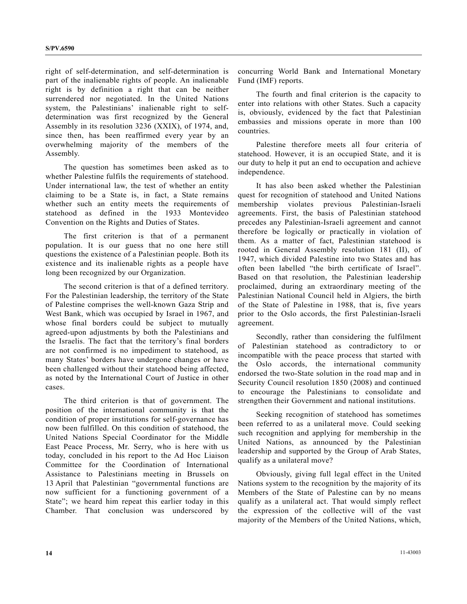right of self-determination, and self-determination is part of the inalienable rights of people. An inalienable right is by definition a right that can be neither surrendered nor negotiated. In the United Nations system, the Palestinians' inalienable right to selfdetermination was first recognized by the General Assembly in its resolution 3236 (XXIX), of 1974, and, since then, has been reaffirmed every year by an overwhelming majority of the members of the Assembly.

 The question has sometimes been asked as to whether Palestine fulfils the requirements of statehood. Under international law, the test of whether an entity claiming to be a State is, in fact, a State remains whether such an entity meets the requirements of statehood as defined in the 1933 Montevideo Convention on the Rights and Duties of States.

 The first criterion is that of a permanent population. It is our guess that no one here still questions the existence of a Palestinian people. Both its existence and its inalienable rights as a people have long been recognized by our Organization.

 The second criterion is that of a defined territory. For the Palestinian leadership, the territory of the State of Palestine comprises the well-known Gaza Strip and West Bank, which was occupied by Israel in 1967, and whose final borders could be subject to mutually agreed-upon adjustments by both the Palestinians and the Israelis. The fact that the territory's final borders are not confirmed is no impediment to statehood, as many States' borders have undergone changes or have been challenged without their statehood being affected, as noted by the International Court of Justice in other cases.

 The third criterion is that of government. The position of the international community is that the condition of proper institutions for self-governance has now been fulfilled. On this condition of statehood, the United Nations Special Coordinator for the Middle East Peace Process, Mr. Serry, who is here with us today, concluded in his report to the Ad Hoc Liaison Committee for the Coordination of International Assistance to Palestinians meeting in Brussels on 13 April that Palestinian "governmental functions are now sufficient for a functioning government of a State"; we heard him repeat this earlier today in this Chamber. That conclusion was underscored by

concurring World Bank and International Monetary Fund (IMF) reports.

 The fourth and final criterion is the capacity to enter into relations with other States. Such a capacity is, obviously, evidenced by the fact that Palestinian embassies and missions operate in more than 100 countries.

 Palestine therefore meets all four criteria of statehood. However, it is an occupied State, and it is our duty to help it put an end to occupation and achieve independence.

 It has also been asked whether the Palestinian quest for recognition of statehood and United Nations membership violates previous Palestinian-Israeli agreements. First, the basis of Palestinian statehood precedes any Palestinian-Israeli agreement and cannot therefore be logically or practically in violation of them. As a matter of fact, Palestinian statehood is rooted in General Assembly resolution 181 (II), of 1947, which divided Palestine into two States and has often been labelled "the birth certificate of Israel". Based on that resolution, the Palestinian leadership proclaimed, during an extraordinary meeting of the Palestinian National Council held in Algiers, the birth of the State of Palestine in 1988, that is, five years prior to the Oslo accords, the first Palestinian-Israeli agreement.

 Secondly, rather than considering the fulfilment of Palestinian statehood as contradictory to or incompatible with the peace process that started with the Oslo accords, the international community endorsed the two-State solution in the road map and in Security Council resolution 1850 (2008) and continued to encourage the Palestinians to consolidate and strengthen their Government and national institutions.

 Seeking recognition of statehood has sometimes been referred to as a unilateral move. Could seeking such recognition and applying for membership in the United Nations, as announced by the Palestinian leadership and supported by the Group of Arab States, qualify as a unilateral move?

 Obviously, giving full legal effect in the United Nations system to the recognition by the majority of its Members of the State of Palestine can by no means qualify as a unilateral act. That would simply reflect the expression of the collective will of the vast majority of the Members of the United Nations, which,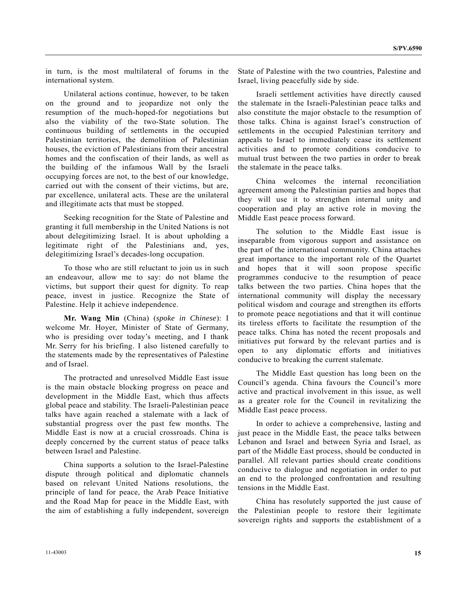in turn, is the most multilateral of forums in the international system.

 Unilateral actions continue, however, to be taken on the ground and to jeopardize not only the resumption of the much-hoped-for negotiations but also the viability of the two-State solution. The continuous building of settlements in the occupied Palestinian territories, the demolition of Palestinian houses, the eviction of Palestinians from their ancestral homes and the confiscation of their lands, as well as the building of the infamous Wall by the Israeli occupying forces are not, to the best of our knowledge, carried out with the consent of their victims, but are, par excellence, unilateral acts. These are the unilateral and illegitimate acts that must be stopped.

 Seeking recognition for the State of Palestine and granting it full membership in the United Nations is not about delegitimizing Israel. It is about upholding a legitimate right of the Palestinians and, yes, delegitimizing Israel's decades-long occupation.

 To those who are still reluctant to join us in such an endeavour, allow me to say: do not blame the victims, but support their quest for dignity. To reap peace, invest in justice. Recognize the State of Palestine. Help it achieve independence.

**Mr. Wang Min** (China) (*spoke in Chinese*): I welcome Mr. Hoyer, Minister of State of Germany, who is presiding over today's meeting, and I thank Mr. Serry for his briefing. I also listened carefully to the statements made by the representatives of Palestine and of Israel.

 The protracted and unresolved Middle East issue is the main obstacle blocking progress on peace and development in the Middle East, which thus affects global peace and stability. The Israeli-Palestinian peace talks have again reached a stalemate with a lack of substantial progress over the past few months. The Middle East is now at a crucial crossroads. China is deeply concerned by the current status of peace talks between Israel and Palestine.

 China supports a solution to the Israel-Palestine dispute through political and diplomatic channels based on relevant United Nations resolutions, the principle of land for peace, the Arab Peace Initiative and the Road Map for peace in the Middle East, with the aim of establishing a fully independent, sovereign

State of Palestine with the two countries, Palestine and Israel, living peacefully side by side.

 Israeli settlement activities have directly caused the stalemate in the Israeli-Palestinian peace talks and also constitute the major obstacle to the resumption of those talks. China is against Israel's construction of settlements in the occupied Palestinian territory and appeals to Israel to immediately cease its settlement activities and to promote conditions conducive to mutual trust between the two parties in order to break the stalemate in the peace talks.

 China welcomes the internal reconciliation agreement among the Palestinian parties and hopes that they will use it to strengthen internal unity and cooperation and play an active role in moving the Middle East peace process forward.

 The solution to the Middle East issue is inseparable from vigorous support and assistance on the part of the international community. China attaches great importance to the important role of the Quartet and hopes that it will soon propose specific programmes conducive to the resumption of peace talks between the two parties. China hopes that the international community will display the necessary political wisdom and courage and strengthen its efforts to promote peace negotiations and that it will continue its tireless efforts to facilitate the resumption of the peace talks. China has noted the recent proposals and initiatives put forward by the relevant parties and is open to any diplomatic efforts and initiatives conducive to breaking the current stalemate.

 The Middle East question has long been on the Council's agenda. China favours the Council's more active and practical involvement in this issue, as well as a greater role for the Council in revitalizing the Middle East peace process.

 In order to achieve a comprehensive, lasting and just peace in the Middle East, the peace talks between Lebanon and Israel and between Syria and Israel, as part of the Middle East process, should be conducted in parallel. All relevant parties should create conditions conducive to dialogue and negotiation in order to put an end to the prolonged confrontation and resulting tensions in the Middle East.

 China has resolutely supported the just cause of the Palestinian people to restore their legitimate sovereign rights and supports the establishment of a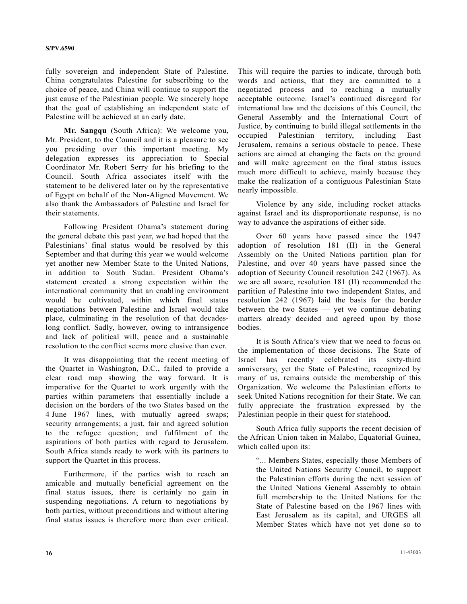fully sovereign and independent State of Palestine. China congratulates Palestine for subscribing to the choice of peace, and China will continue to support the just cause of the Palestinian people. We sincerely hope that the goal of establishing an independent state of Palestine will be achieved at an early date.

**Mr. Sangqu** (South Africa): We welcome you, Mr. President, to the Council and it is a pleasure to see you presiding over this important meeting. My delegation expresses its appreciation to Special Coordinator Mr. Robert Serry for his briefing to the Council. South Africa associates itself with the statement to be delivered later on by the representative of Egypt on behalf of the Non-Aligned Movement. We also thank the Ambassadors of Palestine and Israel for their statements.

 Following President Obama's statement during the general debate this past year, we had hoped that the Palestinians' final status would be resolved by this September and that during this year we would welcome yet another new Member State to the United Nations, in addition to South Sudan. President Obama's statement created a strong expectation within the international community that an enabling environment would be cultivated, within which final status negotiations between Palestine and Israel would take place, culminating in the resolution of that decadeslong conflict. Sadly, however, owing to intransigence and lack of political will, peace and a sustainable resolution to the conflict seems more elusive than ever.

 It was disappointing that the recent meeting of the Quartet in Washington, D.C., failed to provide a clear road map showing the way forward. It is imperative for the Quartet to work urgently with the parties within parameters that essentially include a decision on the borders of the two States based on the 4 June 1967 lines, with mutually agreed swaps; security arrangements; a just, fair and agreed solution to the refugee question; and fulfilment of the aspirations of both parties with regard to Jerusalem. South Africa stands ready to work with its partners to support the Quartet in this process.

 Furthermore, if the parties wish to reach an amicable and mutually beneficial agreement on the final status issues, there is certainly no gain in suspending negotiations. A return to negotiations by both parties, without preconditions and without altering final status issues is therefore more than ever critical. This will require the parties to indicate, through both words and actions, that they are committed to a negotiated process and to reaching a mutually acceptable outcome. Israel's continued disregard for international law and the decisions of this Council, the General Assembly and the International Court of Justice, by continuing to build illegal settlements in the occupied Palestinian territory, including East Jerusalem, remains a serious obstacle to peace. These actions are aimed at changing the facts on the ground and will make agreement on the final status issues much more difficult to achieve, mainly because they make the realization of a contiguous Palestinian State nearly impossible.

 Violence by any side, including rocket attacks against Israel and its disproportionate response, is no way to advance the aspirations of either side.

 Over 60 years have passed since the 1947 adoption of resolution 181 (II) in the General Assembly on the United Nations partition plan for Palestine, and over 40 years have passed since the adoption of Security Council resolution 242 (1967). As we are all aware, resolution 181 (II) recommended the partition of Palestine into two independent States, and resolution 242 (1967) laid the basis for the border between the two States — yet we continue debating matters already decided and agreed upon by those bodies.

 It is South Africa's view that we need to focus on the implementation of those decisions. The State of Israel has recently celebrated its sixty-third anniversary, yet the State of Palestine, recognized by many of us, remains outside the membership of this Organization. We welcome the Palestinian efforts to seek United Nations recognition for their State. We can fully appreciate the frustration expressed by the Palestinian people in their quest for statehood.

 South Africa fully supports the recent decision of the African Union taken in Malabo, Equatorial Guinea, which called upon its:

 "... Members States, especially those Members of the United Nations Security Council, to support the Palestinian efforts during the next session of the United Nations General Assembly to obtain full membership to the United Nations for the State of Palestine based on the 1967 lines with East Jerusalem as its capital, and URGES all Member States which have not yet done so to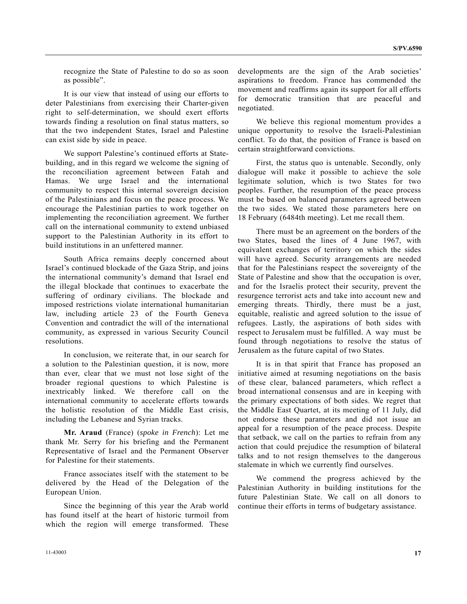recognize the State of Palestine to do so as soon as possible".

 It is our view that instead of using our efforts to deter Palestinians from exercising their Charter-given right to self-determination, we should exert efforts towards finding a resolution on final status matters, so that the two independent States, Israel and Palestine can exist side by side in peace.

 We support Palestine's continued efforts at Statebuilding, and in this regard we welcome the signing of the reconciliation agreement between Fatah and Hamas. We urge Israel and the international community to respect this internal sovereign decision of the Palestinians and focus on the peace process. We encourage the Palestinian parties to work together on implementing the reconciliation agreement. We further call on the international community to extend unbiased support to the Palestinian Authority in its effort to build institutions in an unfettered manner.

 South Africa remains deeply concerned about Israel's continued blockade of the Gaza Strip, and joins the international community's demand that Israel end the illegal blockade that continues to exacerbate the suffering of ordinary civilians. The blockade and imposed restrictions violate international humanitarian law, including article 23 of the Fourth Geneva Convention and contradict the will of the international community, as expressed in various Security Council resolutions.

 In conclusion, we reiterate that, in our search for a solution to the Palestinian question, it is now, more than ever, clear that we must not lose sight of the broader regional questions to which Palestine is inextricably linked. We therefore call on the international community to accelerate efforts towards the holistic resolution of the Middle East crisis, including the Lebanese and Syrian tracks.

**Mr. Araud** (France) (*spoke in French*): Let me thank Mr. Serry for his briefing and the Permanent Representative of Israel and the Permanent Observer for Palestine for their statements.

 France associates itself with the statement to be delivered by the Head of the Delegation of the European Union.

 Since the beginning of this year the Arab world has found itself at the heart of historic turmoil from which the region will emerge transformed. These

developments are the sign of the Arab societies' aspirations to freedom. France has commended the movement and reaffirms again its support for all efforts for democratic transition that are peaceful and negotiated.

 We believe this regional momentum provides a unique opportunity to resolve the Israeli-Palestinian conflict. To do that, the position of France is based on certain straightforward convictions.

 First, the status quo is untenable. Secondly, only dialogue will make it possible to achieve the sole legitimate solution, which is two States for two peoples. Further, the resumption of the peace process must be based on balanced parameters agreed between the two sides. We stated those parameters here on 18 February (6484th meeting). Let me recall them.

 There must be an agreement on the borders of the two States, based the lines of 4 June 1967, with equivalent exchanges of territory on which the sides will have agreed. Security arrangements are needed that for the Palestinians respect the sovereignty of the State of Palestine and show that the occupation is over, and for the Israelis protect their security, prevent the resurgence terrorist acts and take into account new and emerging threats. Thirdly, there must be a just, equitable, realistic and agreed solution to the issue of refugees. Lastly, the aspirations of both sides with respect to Jerusalem must be fulfilled. A way must be found through negotiations to resolve the status of Jerusalem as the future capital of two States.

 It is in that spirit that France has proposed an initiative aimed at resuming negotiations on the basis of these clear, balanced parameters, which reflect a broad international consensus and are in keeping with the primary expectations of both sides. We regret that the Middle East Quartet, at its meeting of 11 July, did not endorse these parameters and did not issue an appeal for a resumption of the peace process. Despite that setback, we call on the parties to refrain from any action that could prejudice the resumption of bilateral talks and to not resign themselves to the dangerous stalemate in which we currently find ourselves.

 We commend the progress achieved by the Palestinian Authority in building institutions for the future Palestinian State. We call on all donors to continue their efforts in terms of budgetary assistance.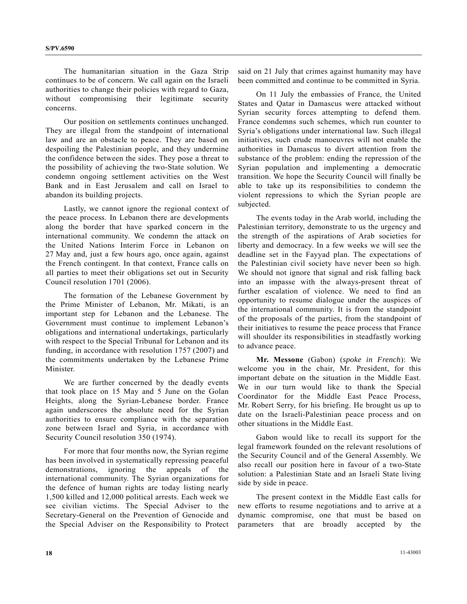The humanitarian situation in the Gaza Strip continues to be of concern. We call again on the Israeli authorities to change their policies with regard to Gaza, without compromising their legitimate security concerns.

 Our position on settlements continues unchanged. They are illegal from the standpoint of international law and are an obstacle to peace. They are based on despoiling the Palestinian people, and they undermine the confidence between the sides. They pose a threat to the possibility of achieving the two-State solution. We condemn ongoing settlement activities on the West Bank and in East Jerusalem and call on Israel to abandon its building projects.

 Lastly, we cannot ignore the regional context of the peace process. In Lebanon there are developments along the border that have sparked concern in the international community. We condemn the attack on the United Nations Interim Force in Lebanon on 27 May and, just a few hours ago, once again, against the French contingent. In that context, France calls on all parties to meet their obligations set out in Security Council resolution 1701 (2006).

 The formation of the Lebanese Government by the Prime Minister of Lebanon, Mr. Mikati, is an important step for Lebanon and the Lebanese. The Government must continue to implement Lebanon's obligations and international undertakings, particularly with respect to the Special Tribunal for Lebanon and its funding, in accordance with resolution 1757 (2007) and the commitments undertaken by the Lebanese Prime Minister.

 We are further concerned by the deadly events that took place on 15 May and 5 June on the Golan Heights, along the Syrian-Lebanese border. France again underscores the absolute need for the Syrian authorities to ensure compliance with the separation zone between Israel and Syria, in accordance with Security Council resolution 350 (1974).

 For more that four months now, the Syrian regime has been involved in systematically repressing peaceful demonstrations, ignoring the appeals of the international community. The Syrian organizations for the defence of human rights are today listing nearly 1,500 killed and 12,000 political arrests. Each week we see civilian victims. The Special Adviser to the Secretary-General on the Prevention of Genocide and the Special Adviser on the Responsibility to Protect

said on 21 July that crimes against humanity may have been committed and continue to be committed in Syria.

 On 11 July the embassies of France, the United States and Qatar in Damascus were attacked without Syrian security forces attempting to defend them. France condemns such schemes, which run counter to Syria's obligations under international law. Such illegal initiatives, such crude manoeuvres will not enable the authorities in Damascus to divert attention from the substance of the problem: ending the repression of the Syrian population and implementing a democratic transition. We hope the Security Council will finally be able to take up its responsibilities to condemn the violent repressions to which the Syrian people are subjected.

 The events today in the Arab world, including the Palestinian territory, demonstrate to us the urgency and the strength of the aspirations of Arab societies for liberty and democracy. In a few weeks we will see the deadline set in the Fayyad plan. The expectations of the Palestinian civil society have never been so high. We should not ignore that signal and risk falling back into an impasse with the always-present threat of further escalation of violence. We need to find an opportunity to resume dialogue under the auspices of the international community. It is from the standpoint of the proposals of the parties, from the standpoint of their initiatives to resume the peace process that France will shoulder its responsibilities in steadfastly working to advance peace.

**Mr. Messone** (Gabon) (*spoke in French*): We welcome you in the chair, Mr. President, for this important debate on the situation in the Middle East. We in our turn would like to thank the Special Coordinator for the Middle East Peace Process, Mr. Robert Serry, for his briefing. He brought us up to date on the Israeli-Palestinian peace process and on other situations in the Middle East.

 Gabon would like to recall its support for the legal framework founded on the relevant resolutions of the Security Council and of the General Assembly. We also recall our position here in favour of a two-State solution: a Palestinian State and an Israeli State living side by side in peace.

 The present context in the Middle East calls for new efforts to resume negotiations and to arrive at a dynamic compromise, one that must be based on parameters that are broadly accepted by the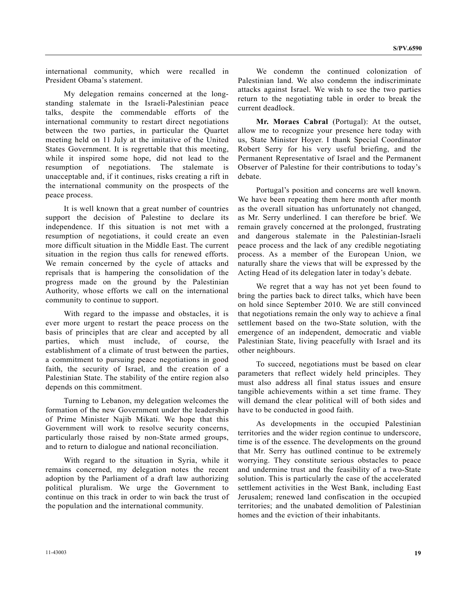international community, which were recalled in President Obama's statement.

 My delegation remains concerned at the longstanding stalemate in the Israeli-Palestinian peace talks, despite the commendable efforts of the international community to restart direct negotiations between the two parties, in particular the Quartet meeting held on 11 July at the imitative of the United States Government. It is regrettable that this meeting, while it inspired some hope, did not lead to the resumption of negotiations. The stalemate is unacceptable and, if it continues, risks creating a rift in the international community on the prospects of the peace process.

 It is well known that a great number of countries support the decision of Palestine to declare its independence. If this situation is not met with a resumption of negotiations, it could create an even more difficult situation in the Middle East. The current situation in the region thus calls for renewed efforts. We remain concerned by the cycle of attacks and reprisals that is hampering the consolidation of the progress made on the ground by the Palestinian Authority, whose efforts we call on the international community to continue to support.

 With regard to the impasse and obstacles, it is ever more urgent to restart the peace process on the basis of principles that are clear and accepted by all parties, which must include, of course, the establishment of a climate of trust between the parties, a commitment to pursuing peace negotiations in good faith, the security of Israel, and the creation of a Palestinian State. The stability of the entire region also depends on this commitment.

 Turning to Lebanon, my delegation welcomes the formation of the new Government under the leadership of Prime Minister Najib Mikati. We hope that this Government will work to resolve security concerns, particularly those raised by non-State armed groups, and to return to dialogue and national reconciliation.

 With regard to the situation in Syria, while it remains concerned, my delegation notes the recent adoption by the Parliament of a draft law authorizing political pluralism. We urge the Government to continue on this track in order to win back the trust of the population and the international community.

 We condemn the continued colonization of Palestinian land. We also condemn the indiscriminate attacks against Israel. We wish to see the two parties return to the negotiating table in order to break the current deadlock.

**Mr. Moraes Cabral** (Portugal): At the outset, allow me to recognize your presence here today with us, State Minister Hoyer. I thank Special Coordinator Robert Serry for his very useful briefing, and the Permanent Representative of Israel and the Permanent Observer of Palestine for their contributions to today's debate.

 Portugal's position and concerns are well known. We have been repeating them here month after month as the overall situation has unfortunately not changed, as Mr. Serry underlined. I can therefore be brief. We remain gravely concerned at the prolonged, frustrating and dangerous stalemate in the Palestinian-Israeli peace process and the lack of any credible negotiating process. As a member of the European Union, we naturally share the views that will be expressed by the Acting Head of its delegation later in today's debate.

 We regret that a way has not yet been found to bring the parties back to direct talks, which have been on hold since September 2010. We are still convinced that negotiations remain the only way to achieve a final settlement based on the two-State solution, with the emergence of an independent, democratic and viable Palestinian State, living peacefully with Israel and its other neighbours.

 To succeed, negotiations must be based on clear parameters that reflect widely held principles. They must also address all final status issues and ensure tangible achievements within a set time frame. They will demand the clear political will of both sides and have to be conducted in good faith.

 As developments in the occupied Palestinian territories and the wider region continue to underscore, time is of the essence. The developments on the ground that Mr. Serry has outlined continue to be extremely worrying. They constitute serious obstacles to peace and undermine trust and the feasibility of a two-State solution. This is particularly the case of the accelerated settlement activities in the West Bank, including East Jerusalem; renewed land confiscation in the occupied territories; and the unabated demolition of Palestinian homes and the eviction of their inhabitants.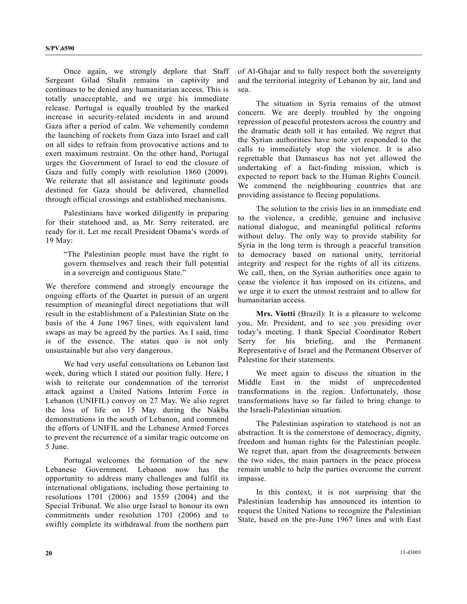Once again, we strongly deplore that Staff Sergeant Gilad Shalit remains in captivity and continues to be denied any humanitarian access. This is totally unacceptable, and we urge his immediate release. Portugal is equally troubled by the marked increase in security-related incidents in and around Gaza after a period of calm. We vehemently condemn the launching of rockets from Gaza into Israel and call on all sides to refrain from provocative actions and to exert maximum restraint. On the other hand, Portugal urges the Government of Israel to end the closure of Gaza and fully comply with resolution 1860 (2009). We reiterate that all assistance and legitimate goods destined for Gaza should be delivered, channelled through official crossings and established mechanisms.

 Palestinians have worked diligently in preparing for their statehood and, as Mr. Serry reiterated, are ready for it. Let me recall President Obama's words of 19 May:

 "The Palestinian people must have the right to govern themselves and reach their full potential in a sovereign and contiguous State."

We therefore commend and strongly encourage the ongoing efforts of the Quartet in pursuit of an urgent resumption of meaningful direct negotiations that will result in the establishment of a Palestinian State on the basis of the 4 June 1967 lines, with equivalent land swaps as may be agreed by the parties. As I said, time is of the essence. The status quo is not only unsustainable but also very dangerous.

 We had very useful consultations on Lebanon last week, during which I stated our position fully. Here, I wish to reiterate our condemnation of the terrorist attack against a United Nations Interim Force in Lebanon (UNIFIL) convoy on 27 May. We also regret the loss of life on 15 May during the Nakba demonstrations in the south of Lebanon, and commend the efforts of UNIFIL and the Lebanese Armed Forces to prevent the recurrence of a similar tragic outcome on 5 June.

 Portugal welcomes the formation of the new Lebanese Government. Lebanon now has the opportunity to address many challenges and fulfil its international obligations, including those pertaining to resolutions 1701 (2006) and 1559 (2004) and the Special Tribunal. We also urge Israel to honour its own commitments under resolution 1701 (2006) and to swiftly complete its withdrawal from the northern part

of Al-Ghajar and to fully respect both the sovereignty and the territorial integrity of Lebanon by air, land and sea.

 The situation in Syria remains of the utmost concern. We are deeply troubled by the ongoing repression of peaceful protestors across the country and the dramatic death toll it has entailed. We regret that the Syrian authorities have note yet responded to the calls to immediately stop the violence. It is also regrettable that Damascus has not yet allowed the undertaking of a fact-finding mission, which is expected to report back to the Human Rights Council. We commend the neighbouring countries that are providing assistance to fleeing populations.

 The solution to the crisis lies in an immediate end to the violence, a credible, genuine and inclusive national dialogue, and meaningful political reforms without delay. The only way to provide stability for Syria in the long term is through a peaceful transition to democracy based on national unity, territorial integrity and respect for the rights of all its citizens. We call, then, on the Syrian authorities once again to cease the violence it has imposed on its citizens, and we urge it to exert the utmost restraint and to allow for humanitarian access.

**Mrs. Viotti** (Brazil): It is a pleasure to welcome you, Mr. President, and to see you presiding over today's meeting. I thank Special Coordinator Robert Serry for his briefing, and the Permanent Representative of Israel and the Permanent Observer of Palestine for their statements.

 We meet again to discuss the situation in the Middle East in the midst of unprecedented transformations in the region. Unfortunately, those transformations have so far failed to bring change to the Israeli-Palestinian situation.

 The Palestinian aspiration to statehood is not an abstraction. It is the cornerstone of democracy, dignity, freedom and human rights for the Palestinian people. We regret that, apart from the disagreements between the two sides, the main partners in the peace process remain unable to help the parties overcome the current impasse.

 In this context, it is not surprising that the Palestinian leadership has announced its intention to request the United Nations to recognize the Palestinian State, based on the pre-June 1967 lines and with East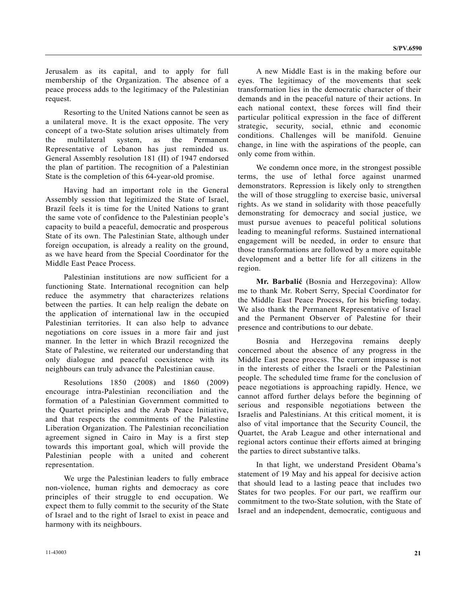Jerusalem as its capital, and to apply for full membership of the Organization. The absence of a peace process adds to the legitimacy of the Palestinian request.

 Resorting to the United Nations cannot be seen as a unilateral move. It is the exact opposite. The very concept of a two-State solution arises ultimately from the multilateral system, as the Permanent Representative of Lebanon has just reminded us. General Assembly resolution 181 (II) of 1947 endorsed the plan of partition. The recognition of a Palestinian State is the completion of this 64-year-old promise.

 Having had an important role in the General Assembly session that legitimized the State of Israel, Brazil feels it is time for the United Nations to grant the same vote of confidence to the Palestinian people's capacity to build a peaceful, democratic and prosperous State of its own. The Palestinian State, although under foreign occupation, is already a reality on the ground, as we have heard from the Special Coordinator for the Middle East Peace Process.

 Palestinian institutions are now sufficient for a functioning State. International recognition can help reduce the asymmetry that characterizes relations between the parties. It can help realign the debate on the application of international law in the occupied Palestinian territories. It can also help to advance negotiations on core issues in a more fair and just manner. In the letter in which Brazil recognized the State of Palestine, we reiterated our understanding that only dialogue and peaceful coexistence with its neighbours can truly advance the Palestinian cause.

 Resolutions 1850 (2008) and 1860 (2009) encourage intra-Palestinian reconciliation and the formation of a Palestinian Government committed to the Quartet principles and the Arab Peace Initiative, and that respects the commitments of the Palestine Liberation Organization. The Palestinian reconciliation agreement signed in Cairo in May is a first step towards this important goal, which will provide the Palestinian people with a united and coherent representation.

 We urge the Palestinian leaders to fully embrace non-violence, human rights and democracy as core principles of their struggle to end occupation. We expect them to fully commit to the security of the State of Israel and to the right of Israel to exist in peace and harmony with its neighbours.

 A new Middle East is in the making before our eyes. The legitimacy of the movements that seek transformation lies in the democratic character of their demands and in the peaceful nature of their actions. In each national context, these forces will find their particular political expression in the face of different strategic, security, social, ethnic and economic conditions. Challenges will be manifold. Genuine change, in line with the aspirations of the people, can only come from within.

 We condemn once more, in the strongest possible terms, the use of lethal force against unarmed demonstrators. Repression is likely only to strengthen the will of those struggling to exercise basic, universal rights. As we stand in solidarity with those peacefully demonstrating for democracy and social justice, we must pursue avenues to peaceful political solutions leading to meaningful reforms. Sustained international engagement will be needed, in order to ensure that those transformations are followed by a more equitable development and a better life for all citizens in the region.

**Mr. Barbalić** (Bosnia and Herzegovina): Allow me to thank Mr. Robert Serry, Special Coordinator for the Middle East Peace Process, for his briefing today. We also thank the Permanent Representative of Israel and the Permanent Observer of Palestine for their presence and contributions to our debate.

 Bosnia and Herzegovina remains deeply concerned about the absence of any progress in the Middle East peace process. The current impasse is not in the interests of either the Israeli or the Palestinian people. The scheduled time frame for the conclusion of peace negotiations is approaching rapidly. Hence, we cannot afford further delays before the beginning of serious and responsible negotiations between the Israelis and Palestinians. At this critical moment, it is also of vital importance that the Security Council, the Quartet, the Arab League and other international and regional actors continue their efforts aimed at bringing the parties to direct substantive talks.

 In that light, we understand President Obama's statement of 19 May and his appeal for decisive action that should lead to a lasting peace that includes two States for two peoples. For our part, we reaffirm our commitment to the two-State solution, with the State of Israel and an independent, democratic, contiguous and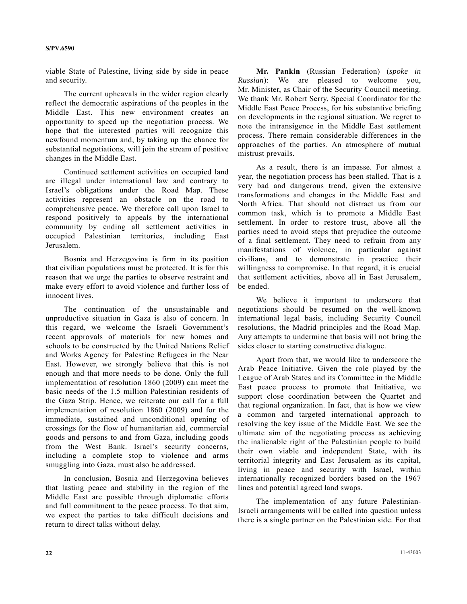viable State of Palestine, living side by side in peace and security.

 The current upheavals in the wider region clearly reflect the democratic aspirations of the peoples in the Middle East. This new environment creates an opportunity to speed up the negotiation process. We hope that the interested parties will recognize this newfound momentum and, by taking up the chance for substantial negotiations, will join the stream of positive changes in the Middle East.

 Continued settlement activities on occupied land are illegal under international law and contrary to Israel's obligations under the Road Map. These activities represent an obstacle on the road to comprehensive peace. We therefore call upon Israel to respond positively to appeals by the international community by ending all settlement activities in occupied Palestinian territories, including East Jerusalem.

 Bosnia and Herzegovina is firm in its position that civilian populations must be protected. It is for this reason that we urge the parties to observe restraint and make every effort to avoid violence and further loss of innocent lives.

 The continuation of the unsustainable and unproductive situation in Gaza is also of concern. In this regard, we welcome the Israeli Government's recent approvals of materials for new homes and schools to be constructed by the United Nations Relief and Works Agency for Palestine Refugees in the Near East. However, we strongly believe that this is not enough and that more needs to be done. Only the full implementation of resolution 1860 (2009) can meet the basic needs of the 1.5 million Palestinian residents of the Gaza Strip. Hence, we reiterate our call for a full implementation of resolution 1860 (2009) and for the immediate, sustained and unconditional opening of crossings for the flow of humanitarian aid, commercial goods and persons to and from Gaza, including goods from the West Bank. Israel's security concerns, including a complete stop to violence and arms smuggling into Gaza, must also be addressed.

 In conclusion, Bosnia and Herzegovina believes that lasting peace and stability in the region of the Middle East are possible through diplomatic efforts and full commitment to the peace process. To that aim, we expect the parties to take difficult decisions and return to direct talks without delay.

**Mr. Pankin** (Russian Federation) (*spoke in Russian*): We are pleased to welcome you, Mr. Minister, as Chair of the Security Council meeting. We thank Mr. Robert Serry, Special Coordinator for the Middle East Peace Process, for his substantive briefing on developments in the regional situation. We regret to note the intransigence in the Middle East settlement process. There remain considerable differences in the approaches of the parties. An atmosphere of mutual mistrust prevails.

 As a result, there is an impasse. For almost a year, the negotiation process has been stalled. That is a very bad and dangerous trend, given the extensive transformations and changes in the Middle East and North Africa. That should not distract us from our common task, which is to promote a Middle East settlement. In order to restore trust, above all the parties need to avoid steps that prejudice the outcome of a final settlement. They need to refrain from any manifestations of violence, in particular against civilians, and to demonstrate in practice their willingness to compromise. In that regard, it is crucial that settlement activities, above all in East Jerusalem, be ended.

 We believe it important to underscore that negotiations should be resumed on the well-known international legal basis, including Security Council resolutions, the Madrid principles and the Road Map. Any attempts to undermine that basis will not bring the sides closer to starting constructive dialogue.

 Apart from that, we would like to underscore the Arab Peace Initiative. Given the role played by the League of Arab States and its Committee in the Middle East peace process to promote that Initiative, we support close coordination between the Quartet and that regional organization. In fact, that is how we view a common and targeted international approach to resolving the key issue of the Middle East. We see the ultimate aim of the negotiating process as achieving the inalienable right of the Palestinian people to build their own viable and independent State, with its territorial integrity and East Jerusalem as its capital, living in peace and security with Israel, within internationally recognized borders based on the 1967 lines and potential agreed land swaps.

 The implementation of any future Palestinian-Israeli arrangements will be called into question unless there is a single partner on the Palestinian side. For that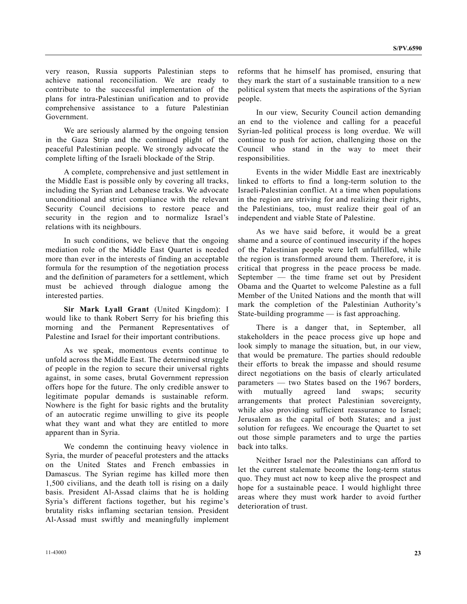very reason, Russia supports Palestinian steps to achieve national reconciliation. We are ready to contribute to the successful implementation of the plans for intra-Palestinian unification and to provide comprehensive assistance to a future Palestinian Government.

We are seriously alarmed by the ongoing tension in the Gaza Strip and the continued plight of the peaceful Palestinian people. We strongly advocate the complete lifting of the Israeli blockade of the Strip.

 A complete, comprehensive and just settlement in the Middle East is possible only by covering all tracks, including the Syrian and Lebanese tracks. We advocate unconditional and strict compliance with the relevant Security Council decisions to restore peace and security in the region and to normalize Israel's relations with its neighbours.

 In such conditions, we believe that the ongoing mediation role of the Middle East Quartet is needed more than ever in the interests of finding an acceptable formula for the resumption of the negotiation process and the definition of parameters for a settlement, which must be achieved through dialogue among the interested parties.

**Sir Mark Lyall Grant** (United Kingdom): I would like to thank Robert Serry for his briefing this morning and the Permanent Representatives of Palestine and Israel for their important contributions.

 As we speak, momentous events continue to unfold across the Middle East. The determined struggle of people in the region to secure their universal rights against, in some cases, brutal Government repression offers hope for the future. The only credible answer to legitimate popular demands is sustainable reform. Nowhere is the fight for basic rights and the brutality of an autocratic regime unwilling to give its people what they want and what they are entitled to more apparent than in Syria.

 We condemn the continuing heavy violence in Syria, the murder of peaceful protesters and the attacks on the United States and French embassies in Damascus. The Syrian regime has killed more then 1,500 civilians, and the death toll is rising on a daily basis. President Al-Assad claims that he is holding Syria's different factions together, but his regime's brutality risks inflaming sectarian tension. President Al-Assad must swiftly and meaningfully implement reforms that he himself has promised, ensuring that they mark the start of a sustainable transition to a new political system that meets the aspirations of the Syrian people.

 In our view, Security Council action demanding an end to the violence and calling for a peaceful Syrian-led political process is long overdue. We will continue to push for action, challenging those on the Council who stand in the way to meet their responsibilities.

 Events in the wider Middle East are inextricably linked to efforts to find a long-term solution to the Israeli-Palestinian conflict. At a time when populations in the region are striving for and realizing their rights, the Palestinians, too, must realize their goal of an independent and viable State of Palestine.

 As we have said before, it would be a great shame and a source of continued insecurity if the hopes of the Palestinian people were left unfulfilled, while the region is transformed around them. Therefore, it is critical that progress in the peace process be made. September — the time frame set out by President Obama and the Quartet to welcome Palestine as a full Member of the United Nations and the month that will mark the completion of the Palestinian Authority's State-building programme — is fast approaching.

 There is a danger that, in September, all stakeholders in the peace process give up hope and look simply to manage the situation, but, in our view, that would be premature. The parties should redouble their efforts to break the impasse and should resume direct negotiations on the basis of clearly articulated parameters — two States based on the 1967 borders, with mutually agreed land swaps; security arrangements that protect Palestinian sovereignty, while also providing sufficient reassurance to Israel; Jerusalem as the capital of both States; and a just solution for refugees. We encourage the Quartet to set out those simple parameters and to urge the parties back into talks.

 Neither Israel nor the Palestinians can afford to let the current stalemate become the long-term status quo. They must act now to keep alive the prospect and hope for a sustainable peace. I would highlight three areas where they must work harder to avoid further deterioration of trust.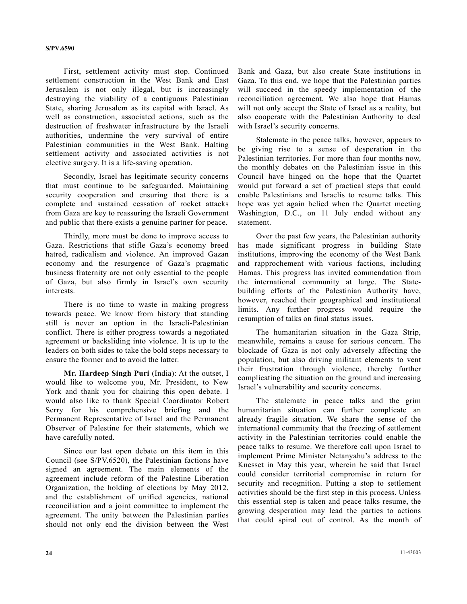First, settlement activity must stop. Continued settlement construction in the West Bank and East Jerusalem is not only illegal, but is increasingly destroying the viability of a contiguous Palestinian State, sharing Jerusalem as its capital with Israel. As well as construction, associated actions, such as the destruction of freshwater infrastructure by the Israeli authorities, undermine the very survival of entire Palestinian communities in the West Bank. Halting settlement activity and associated activities is not elective surgery. It is a life-saving operation.

 Secondly, Israel has legitimate security concerns that must continue to be safeguarded. Maintaining security cooperation and ensuring that there is a complete and sustained cessation of rocket attacks from Gaza are key to reassuring the Israeli Government and public that there exists a genuine partner for peace.

 Thirdly, more must be done to improve access to Gaza. Restrictions that stifle Gaza's economy breed hatred, radicalism and violence. An improved Gazan economy and the resurgence of Gaza's pragmatic business fraternity are not only essential to the people of Gaza, but also firmly in Israel's own security interests.

 There is no time to waste in making progress towards peace. We know from history that standing still is never an option in the Israeli-Palestinian conflict. There is either progress towards a negotiated agreement or backsliding into violence. It is up to the leaders on both sides to take the bold steps necessary to ensure the former and to avoid the latter.

**Mr. Hardeep Singh Puri** (India): At the outset, I would like to welcome you, Mr. President, to New York and thank you for chairing this open debate. I would also like to thank Special Coordinator Robert Serry for his comprehensive briefing and the Permanent Representative of Israel and the Permanent Observer of Palestine for their statements, which we have carefully noted.

 Since our last open debate on this item in this Council (see S/PV.6520), the Palestinian factions have signed an agreement. The main elements of the agreement include reform of the Palestine Liberation Organization, the holding of elections by May 2012, and the establishment of unified agencies, national reconciliation and a joint committee to implement the agreement. The unity between the Palestinian parties should not only end the division between the West

Bank and Gaza, but also create State institutions in Gaza. To this end, we hope that the Palestinian parties will succeed in the speedy implementation of the reconciliation agreement. We also hope that Hamas will not only accept the State of Israel as a reality, but also cooperate with the Palestinian Authority to deal with Israel's security concerns.

 Stalemate in the peace talks, however, appears to be giving rise to a sense of desperation in the Palestinian territories. For more than four months now, the monthly debates on the Palestinian issue in this Council have hinged on the hope that the Quartet would put forward a set of practical steps that could enable Palestinians and Israelis to resume talks. This hope was yet again belied when the Quartet meeting Washington, D.C., on 11 July ended without any statement.

 Over the past few years, the Palestinian authority has made significant progress in building State institutions, improving the economy of the West Bank and rapprochement with various factions, including Hamas. This progress has invited commendation from the international community at large. The Statebuilding efforts of the Palestinian Authority have, however, reached their geographical and institutional limits. Any further progress would require the resumption of talks on final status issues.

 The humanitarian situation in the Gaza Strip, meanwhile, remains a cause for serious concern. The blockade of Gaza is not only adversely affecting the population, but also driving militant elements to vent their frustration through violence, thereby further complicating the situation on the ground and increasing Israel's vulnerability and security concerns.

 The stalemate in peace talks and the grim humanitarian situation can further complicate an already fragile situation. We share the sense of the international community that the freezing of settlement activity in the Palestinian territories could enable the peace talks to resume. We therefore call upon Israel to implement Prime Minister Netanyahu's address to the Knesset in May this year, wherein he said that Israel could consider territorial compromise in return for security and recognition. Putting a stop to settlement activities should be the first step in this process. Unless this essential step is taken and peace talks resume, the growing desperation may lead the parties to actions that could spiral out of control. As the month of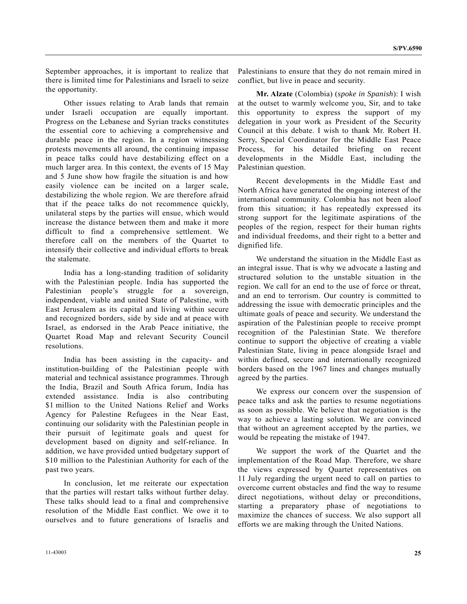September approaches, it is important to realize that there is limited time for Palestinians and Israeli to seize the opportunity.

 Other issues relating to Arab lands that remain under Israeli occupation are equally important. Progress on the Lebanese and Syrian tracks constitutes the essential core to achieving a comprehensive and durable peace in the region. In a region witnessing protests movements all around, the continuing impasse in peace talks could have destabilizing effect on a much larger area. In this context, the events of 15 May and 5 June show how fragile the situation is and how easily violence can be incited on a larger scale, destabilizing the whole region. We are therefore afraid that if the peace talks do not recommence quickly, unilateral steps by the parties will ensue, which would increase the distance between them and make it more difficult to find a comprehensive settlement. We therefore call on the members of the Quartet to intensify their collective and individual efforts to break the stalemate.

 India has a long-standing tradition of solidarity with the Palestinian people. India has supported the Palestinian people's struggle for a sovereign, independent, viable and united State of Palestine, with East Jerusalem as its capital and living within secure and recognized borders, side by side and at peace with Israel, as endorsed in the Arab Peace initiative, the Quartet Road Map and relevant Security Council resolutions.

 India has been assisting in the capacity- and institution-building of the Palestinian people with material and technical assistance programmes. Through the India, Brazil and South Africa forum, India has extended assistance. India is also contributing \$1 million to the United Nations Relief and Works Agency for Palestine Refugees in the Near East, continuing our solidarity with the Palestinian people in their pursuit of legitimate goals and quest for development based on dignity and self-reliance. In addition, we have provided untied budgetary support of \$10 million to the Palestinian Authority for each of the past two years.

 In conclusion, let me reiterate our expectation that the parties will restart talks without further delay. These talks should lead to a final and comprehensive resolution of the Middle East conflict. We owe it to ourselves and to future generations of Israelis and

**Mr. Alzate** (Colombia) (*spoke in Spanish*): I wish at the outset to warmly welcome you, Sir, and to take this opportunity to express the support of my delegation in your work as President of the Security Council at this debate. I wish to thank Mr. Robert H. Serry, Special Coordinator for the Middle East Peace Process, for his detailed briefing on recent developments in the Middle East, including the Palestinian question.

 Recent developments in the Middle East and North Africa have generated the ongoing interest of the international community. Colombia has not been aloof from this situation; it has repeatedly expressed its strong support for the legitimate aspirations of the peoples of the region, respect for their human rights and individual freedoms, and their right to a better and dignified life.

 We understand the situation in the Middle East as an integral issue. That is why we advocate a lasting and structured solution to the unstable situation in the region. We call for an end to the use of force or threat, and an end to terrorism. Our country is committed to addressing the issue with democratic principles and the ultimate goals of peace and security. We understand the aspiration of the Palestinian people to receive prompt recognition of the Palestinian State. We therefore continue to support the objective of creating a viable Palestinian State, living in peace alongside Israel and within defined, secure and internationally recognized borders based on the 1967 lines and changes mutually agreed by the parties.

 We express our concern over the suspension of peace talks and ask the parties to resume negotiations as soon as possible. We believe that negotiation is the way to achieve a lasting solution. We are convinced that without an agreement accepted by the parties, we would be repeating the mistake of 1947.

 We support the work of the Quartet and the implementation of the Road Map. Therefore, we share the views expressed by Quartet representatives on 11 July regarding the urgent need to call on parties to overcome current obstacles and find the way to resume direct negotiations, without delay or preconditions, starting a preparatory phase of negotiations to maximize the chances of success. We also support all efforts we are making through the United Nations.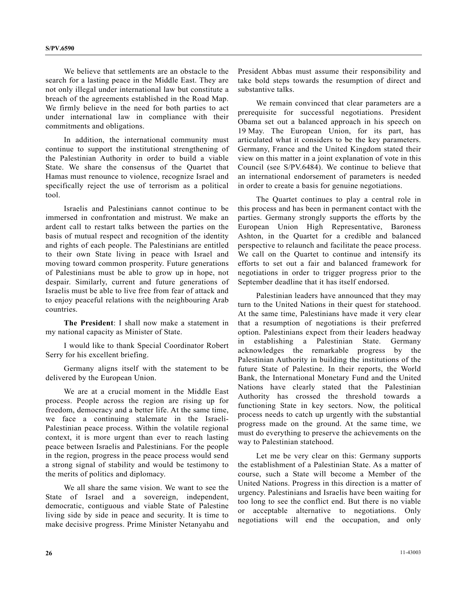We believe that settlements are an obstacle to the search for a lasting peace in the Middle East. They are not only illegal under international law but constitute a breach of the agreements established in the Road Map. We firmly believe in the need for both parties to act under international law in compliance with their commitments and obligations.

 In addition, the international community must continue to support the institutional strengthening of the Palestinian Authority in order to build a viable State. We share the consensus of the Quartet that Hamas must renounce to violence, recognize Israel and specifically reject the use of terrorism as a political tool.

 Israelis and Palestinians cannot continue to be immersed in confrontation and mistrust. We make an ardent call to restart talks between the parties on the basis of mutual respect and recognition of the identity and rights of each people. The Palestinians are entitled to their own State living in peace with Israel and moving toward common prosperity. Future generations of Palestinians must be able to grow up in hope, not despair. Similarly, current and future generations of Israelis must be able to live free from fear of attack and to enjoy peaceful relations with the neighbouring Arab countries.

**The President**: I shall now make a statement in my national capacity as Minister of State.

 I would like to thank Special Coordinator Robert Serry for his excellent briefing.

 Germany aligns itself with the statement to be delivered by the European Union.

 We are at a crucial moment in the Middle East process. People across the region are rising up for freedom, democracy and a better life. At the same time, we face a continuing stalemate in the Israeli-Palestinian peace process. Within the volatile regional context, it is more urgent than ever to reach lasting peace between Israelis and Palestinians. For the people in the region, progress in the peace process would send a strong signal of stability and would be testimony to the merits of politics and diplomacy.

 We all share the same vision. We want to see the State of Israel and a sovereign, independent, democratic, contiguous and viable State of Palestine living side by side in peace and security. It is time to make decisive progress. Prime Minister Netanyahu and

President Abbas must assume their responsibility and take bold steps towards the resumption of direct and substantive talks.

 We remain convinced that clear parameters are a prerequisite for successful negotiations. President Obama set out a balanced approach in his speech on 19 May. The European Union, for its part, has articulated what it considers to be the key parameters. Germany, France and the United Kingdom stated their view on this matter in a joint explanation of vote in this Council (see S/PV.6484). We continue to believe that an international endorsement of parameters is needed in order to create a basis for genuine negotiations.

 The Quartet continues to play a central role in this process and has been in permanent contact with the parties. Germany strongly supports the efforts by the European Union High Representative, Baroness Ashton, in the Quartet for a credible and balanced perspective to relaunch and facilitate the peace process. We call on the Quartet to continue and intensify its efforts to set out a fair and balanced framework for negotiations in order to trigger progress prior to the September deadline that it has itself endorsed.

 Palestinian leaders have announced that they may turn to the United Nations in their quest for statehood. At the same time, Palestinians have made it very clear that a resumption of negotiations is their preferred option. Palestinians expect from their leaders headway in establishing a Palestinian State. Germany acknowledges the remarkable progress by the Palestinian Authority in building the institutions of the future State of Palestine. In their reports, the World Bank, the International Monetary Fund and the United Nations have clearly stated that the Palestinian Authority has crossed the threshold towards a functioning State in key sectors. Now, the political process needs to catch up urgently with the substantial progress made on the ground. At the same time, we must do everything to preserve the achievements on the way to Palestinian statehood.

 Let me be very clear on this: Germany supports the establishment of a Palestinian State. As a matter of course, such a State will become a Member of the United Nations. Progress in this direction is a matter of urgency. Palestinians and Israelis have been waiting for too long to see the conflict end. But there is no viable or acceptable alternative to negotiations. Only negotiations will end the occupation, and only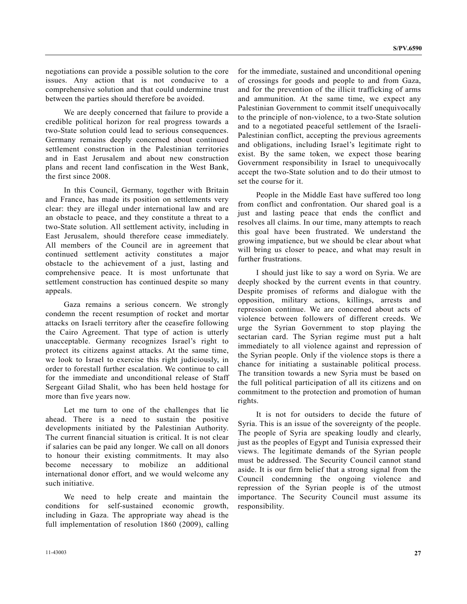negotiations can provide a possible solution to the core issues. Any action that is not conducive to a comprehensive solution and that could undermine trust between the parties should therefore be avoided.

 We are deeply concerned that failure to provide a credible political horizon for real progress towards a two-State solution could lead to serious consequences. Germany remains deeply concerned about continued settlement construction in the Palestinian territories and in East Jerusalem and about new construction plans and recent land confiscation in the West Bank, the first since 2008.

 In this Council, Germany, together with Britain and France, has made its position on settlements very clear: they are illegal under international law and are an obstacle to peace, and they constitute a threat to a two-State solution. All settlement activity, including in East Jerusalem, should therefore cease immediately. All members of the Council are in agreement that continued settlement activity constitutes a major obstacle to the achievement of a just, lasting and comprehensive peace. It is most unfortunate that settlement construction has continued despite so many appeals.

 Gaza remains a serious concern. We strongly condemn the recent resumption of rocket and mortar attacks on Israeli territory after the ceasefire following the Cairo Agreement. That type of action is utterly unacceptable. Germany recognizes Israel's right to protect its citizens against attacks. At the same time, we look to Israel to exercise this right judiciously, in order to forestall further escalation. We continue to call for the immediate and unconditional release of Staff Sergeant Gilad Shalit, who has been held hostage for more than five years now.

 Let me turn to one of the challenges that lie ahead. There is a need to sustain the positive developments initiated by the Palestinian Authority. The current financial situation is critical. It is not clear if salaries can be paid any longer. We call on all donors to honour their existing commitments. It may also become necessary to mobilize an additional international donor effort, and we would welcome any such initiative.

 We need to help create and maintain the conditions for self-sustained economic growth, including in Gaza. The appropriate way ahead is the full implementation of resolution 1860 (2009), calling

for the immediate, sustained and unconditional opening of crossings for goods and people to and from Gaza, and for the prevention of the illicit trafficking of arms and ammunition. At the same time, we expect any Palestinian Government to commit itself unequivocally to the principle of non-violence, to a two-State solution and to a negotiated peaceful settlement of the Israeli-Palestinian conflict, accepting the previous agreements and obligations, including Israel's legitimate right to exist. By the same token, we expect those bearing Government responsibility in Israel to unequivocally accept the two-State solution and to do their utmost to set the course for it.

 People in the Middle East have suffered too long from conflict and confrontation. Our shared goal is a just and lasting peace that ends the conflict and resolves all claims. In our time, many attempts to reach this goal have been frustrated. We understand the growing impatience, but we should be clear about what will bring us closer to peace, and what may result in further frustrations.

 I should just like to say a word on Syria. We are deeply shocked by the current events in that country. Despite promises of reforms and dialogue with the opposition, military actions, killings, arrests and repression continue. We are concerned about acts of violence between followers of different creeds. We urge the Syrian Government to stop playing the sectarian card. The Syrian regime must put a halt immediately to all violence against and repression of the Syrian people. Only if the violence stops is there a chance for initiating a sustainable political process. The transition towards a new Syria must be based on the full political participation of all its citizens and on commitment to the protection and promotion of human rights.

 It is not for outsiders to decide the future of Syria. This is an issue of the sovereignty of the people. The people of Syria are speaking loudly and clearly, just as the peoples of Egypt and Tunisia expressed their views. The legitimate demands of the Syrian people must be addressed. The Security Council cannot stand aside. It is our firm belief that a strong signal from the Council condemning the ongoing violence and repression of the Syrian people is of the utmost importance. The Security Council must assume its responsibility.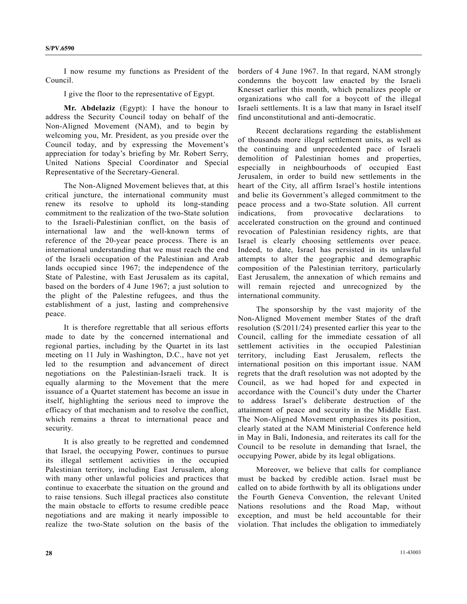I now resume my functions as President of the Council.

I give the floor to the representative of Egypt.

**Mr. Abdelaziz** (Egypt): I have the honour to address the Security Council today on behalf of the Non-Aligned Movement (NAM), and to begin by welcoming you, Mr. President, as you preside over the Council today, and by expressing the Movement's appreciation for today's briefing by Mr. Robert Serry, United Nations Special Coordinator and Special Representative of the Secretary-General.

 The Non-Aligned Movement believes that, at this critical juncture, the international community must renew its resolve to uphold its long-standing commitment to the realization of the two-State solution to the Israeli-Palestinian conflict, on the basis of international law and the well-known terms of reference of the 20-year peace process. There is an international understanding that we must reach the end of the Israeli occupation of the Palestinian and Arab lands occupied since 1967; the independence of the State of Palestine, with East Jerusalem as its capital, based on the borders of 4 June 1967; a just solution to the plight of the Palestine refugees, and thus the establishment of a just, lasting and comprehensive peace.

 It is therefore regrettable that all serious efforts made to date by the concerned international and regional parties, including by the Quartet in its last meeting on 11 July in Washington, D.C., have not yet led to the resumption and advancement of direct negotiations on the Palestinian-Israeli track. It is equally alarming to the Movement that the mere issuance of a Quartet statement has become an issue in itself, highlighting the serious need to improve the efficacy of that mechanism and to resolve the conflict, which remains a threat to international peace and security.

 It is also greatly to be regretted and condemned that Israel, the occupying Power, continues to pursue its illegal settlement activities in the occupied Palestinian territory, including East Jerusalem, along with many other unlawful policies and practices that continue to exacerbate the situation on the ground and to raise tensions. Such illegal practices also constitute the main obstacle to efforts to resume credible peace negotiations and are making it nearly impossible to realize the two-State solution on the basis of the

borders of 4 June 1967. In that regard, NAM strongly condemns the boycott law enacted by the Israeli Knesset earlier this month, which penalizes people or organizations who call for a boycott of the illegal Israeli settlements. It is a law that many in Israel itself find unconstitutional and anti-democratic.

 Recent declarations regarding the establishment of thousands more illegal settlement units, as well as the continuing and unprecedented pace of Israeli demolition of Palestinian homes and properties, especially in neighbourhoods of occupied East Jerusalem, in order to build new settlements in the heart of the City, all affirm Israel's hostile intentions and belie its Government's alleged commitment to the peace process and a two-State solution. All current indications, from provocative declarations to accelerated construction on the ground and continued revocation of Palestinian residency rights, are that Israel is clearly choosing settlements over peace. Indeed, to date, Israel has persisted in its unlawful attempts to alter the geographic and demographic composition of the Palestinian territory, particularly East Jerusalem, the annexation of which remains and will remain rejected and unrecognized by the international community.

 The sponsorship by the vast majority of the Non-Aligned Movement member States of the draft resolution (S/2011/24) presented earlier this year to the Council, calling for the immediate cessation of all settlement activities in the occupied Palestinian territory, including East Jerusalem, reflects the international position on this important issue. NAM regrets that the draft resolution was not adopted by the Council, as we had hoped for and expected in accordance with the Council's duty under the Charter to address Israel's deliberate destruction of the attainment of peace and security in the Middle East. The Non-Aligned Movement emphasizes its position, clearly stated at the NAM Ministerial Conference held in May in Bali, Indonesia, and reiterates its call for the Council to be resolute in demanding that Israel, the occupying Power, abide by its legal obligations.

 Moreover, we believe that calls for compliance must be backed by credible action. Israel must be called on to abide forthwith by all its obligations under the Fourth Geneva Convention, the relevant United Nations resolutions and the Road Map, without exception, and must be held accountable for their violation. That includes the obligation to immediately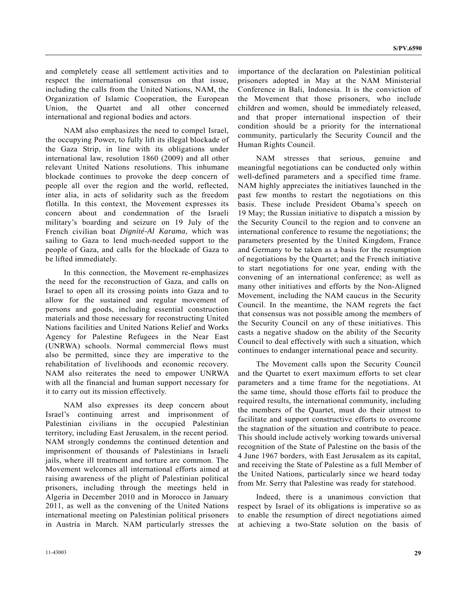and completely cease all settlement activities and to respect the international consensus on that issue, including the calls from the United Nations, NAM, the Organization of Islamic Cooperation, the European Union, the Quartet and all other concerned international and regional bodies and actors.

 NAM also emphasizes the need to compel Israel, the occupying Power, to fully lift its illegal blockade of the Gaza Strip, in line with its obligations under international law, resolution 1860 (2009) and all other relevant United Nations resolutions. This inhumane blockade continues to provoke the deep concern of people all over the region and the world, reflected, inter alia, in acts of solidarity such as the freedom flotilla. In this context, the Movement expresses its concern about and condemnation of the Israeli military's boarding and seizure on 19 July of the French civilian boat *Dignité-Al Karama*, which was sailing to Gaza to lend much-needed support to the people of Gaza, and calls for the blockade of Gaza to be lifted immediately.

 In this connection, the Movement re-emphasizes the need for the reconstruction of Gaza, and calls on Israel to open all its crossing points into Gaza and to allow for the sustained and regular movement of persons and goods, including essential construction materials and those necessary for reconstructing United Nations facilities and United Nations Relief and Works Agency for Palestine Refugees in the Near East (UNRWA) schools. Normal commercial flows must also be permitted, since they are imperative to the rehabilitation of livelihoods and economic recovery. NAM also reiterates the need to empower UNRWA with all the financial and human support necessary for it to carry out its mission effectively.

 NAM also expresses its deep concern about Israel's continuing arrest and imprisonment of Palestinian civilians in the occupied Palestinian territory, including East Jerusalem, in the recent period. NAM strongly condemns the continued detention and imprisonment of thousands of Palestinians in Israeli jails, where ill treatment and torture are common. The Movement welcomes all international efforts aimed at raising awareness of the plight of Palestinian political prisoners, including through the meetings held in Algeria in December 2010 and in Morocco in January 2011, as well as the convening of the United Nations international meeting on Palestinian political prisoners in Austria in March. NAM particularly stresses the

importance of the declaration on Palestinian political prisoners adopted in May at the NAM Ministerial Conference in Bali, Indonesia. It is the conviction of the Movement that those prisoners, who include children and women, should be immediately released, and that proper international inspection of their condition should be a priority for the international community, particularly the Security Council and the Human Rights Council.

 NAM stresses that serious, genuine and meaningful negotiations can be conducted only within well-defined parameters and a specified time frame. NAM highly appreciates the initiatives launched in the past few months to restart the negotiations on this basis. These include President Obama's speech on 19 May; the Russian initiative to dispatch a mission by the Security Council to the region and to convene an international conference to resume the negotiations; the parameters presented by the United Kingdom, France and Germany to be taken as a basis for the resumption of negotiations by the Quartet; and the French initiative to start negotiations for one year, ending with the convening of an international conference; as well as many other initiatives and efforts by the Non-Aligned Movement, including the NAM caucus in the Security Council. In the meantime, the NAM regrets the fact that consensus was not possible among the members of the Security Council on any of these initiatives. This casts a negative shadow on the ability of the Security Council to deal effectively with such a situation, which continues to endanger international peace and security.

 The Movement calls upon the Security Council and the Quartet to exert maximum efforts to set clear parameters and a time frame for the negotiations. At the same time, should those efforts fail to produce the required results, the international community, including the members of the Quartet, must do their utmost to facilitate and support constructive efforts to overcome the stagnation of the situation and contribute to peace. This should include actively working towards universal recognition of the State of Palestine on the basis of the 4 June 1967 borders, with East Jerusalem as its capital, and receiving the State of Palestine as a full Member of the United Nations, particularly since we heard today from Mr. Serry that Palestine was ready for statehood.

 Indeed, there is a unanimous conviction that respect by Israel of its obligations is imperative so as to enable the resumption of direct negotiations aimed at achieving a two-State solution on the basis of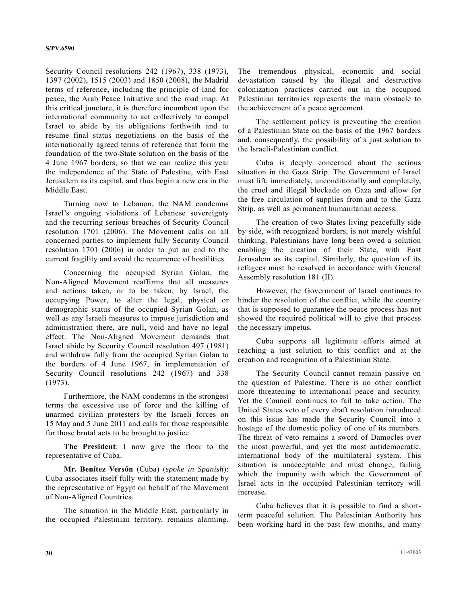Security Council resolutions 242 (1967), 338 (1973), 1397 (2002), 1515 (2003) and 1850 (2008), the Madrid terms of reference, including the principle of land for peace, the Arab Peace Initiative and the road map. At this critical juncture, it is therefore incumbent upon the international community to act collectively to compel Israel to abide by its obligations forthwith and to resume final status negotiations on the basis of the internationally agreed terms of reference that form the foundation of the two-State solution on the basis of the 4 June 1967 borders, so that we can realize this year the independence of the State of Palestine, with East Jerusalem as its capital, and thus begin a new era in the Middle East.

 Turning now to Lebanon, the NAM condemns Israel's ongoing violations of Lebanese sovereignty and the recurring serious breaches of Security Council resolution 1701 (2006). The Movement calls on all concerned parties to implement fully Security Council resolution 1701 (2006) in order to put an end to the current fragility and avoid the recurrence of hostilities.

 Concerning the occupied Syrian Golan, the Non-Aligned Movement reaffirms that all measures and actions taken, or to be taken, by Israel, the occupying Power, to alter the legal, physical or demographic status of the occupied Syrian Golan, as well as any Israeli measures to impose jurisdiction and administration there, are null, void and have no legal effect. The Non-Aligned Movement demands that Israel abide by Security Council resolution 497 (1981) and withdraw fully from the occupied Syrian Golan to the borders of 4 June 1967, in implementation of Security Council resolutions 242 (1967) and 338 (1973).

 Furthermore, the NAM condemns in the strongest terms the excessive use of force and the killing of unarmed civilian protesters by the Israeli forces on 15 May and 5 June 2011 and calls for those responsible for those brutal acts to be brought to justice.

**The President**: I now give the floor to the representative of Cuba.

**Mr. Benítez Versón** (Cuba) (*spoke in Spanish*): Cuba associates itself fully with the statement made by the representative of Egypt on behalf of the Movement of Non-Aligned Countries.

 The situation in the Middle East, particularly in the occupied Palestinian territory, remains alarming.

The tremendous physical, economic and social devastation caused by the illegal and destructive colonization practices carried out in the occupied Palestinian territories represents the main obstacle to the achievement of a peace agreement.

 The settlement policy is preventing the creation of a Palestinian State on the basis of the 1967 borders and, consequently, the possibility of a just solution to the Israeli-Palestinian conflict.

 Cuba is deeply concerned about the serious situation in the Gaza Strip. The Government of Israel must lift, immediately, unconditionally and completely, the cruel and illegal blockade on Gaza and allow for the free circulation of supplies from and to the Gaza Strip, as well as permanent humanitarian access.

 The creation of two States living peacefully side by side, with recognized borders, is not merely wishful thinking. Palestinians have long been owed a solution enabling the creation of their State, with East Jerusalem as its capital. Similarly, the question of its refugees must be resolved in accordance with General Assembly resolution 181 (II).

 However, the Government of Israel continues to hinder the resolution of the conflict, while the country that is supposed to guarantee the peace process has not showed the required political will to give that process the necessary impetus.

 Cuba supports all legitimate efforts aimed at reaching a just solution to this conflict and at the creation and recognition of a Palestinian State.

 The Security Council cannot remain passive on the question of Palestine. There is no other conflict more threatening to international peace and security. Yet the Council continues to fail to take action. The United States veto of every draft resolution introduced on this issue has made the Security Council into a hostage of the domestic policy of one of its members. The threat of veto remains a sword of Damocles over the most powerful, and yet the most antidemocratic, international body of the multilateral system. This situation is unacceptable and must change, failing which the impunity with which the Government of Israel acts in the occupied Palestinian territory will increase.

 Cuba believes that it is possible to find a shortterm peaceful solution. The Palestinian Authority has been working hard in the past few months, and many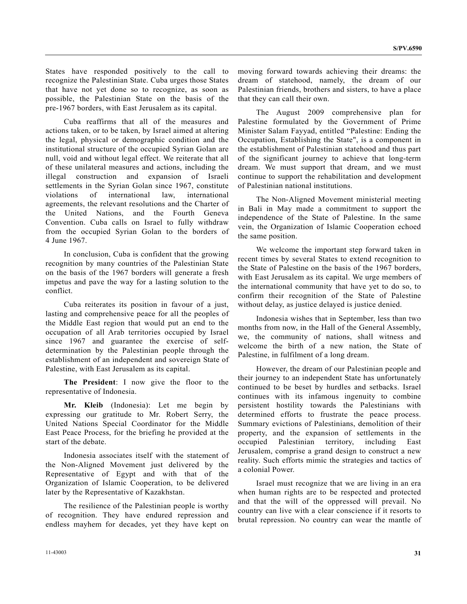States have responded positively to the call to recognize the Palestinian State. Cuba urges those States that have not yet done so to recognize, as soon as possible, the Palestinian State on the basis of the pre-1967 borders, with East Jerusalem as its capital.

 Cuba reaffirms that all of the measures and actions taken, or to be taken, by Israel aimed at altering the legal, physical or demographic condition and the institutional structure of the occupied Syrian Golan are null, void and without legal effect. We reiterate that all of these unilateral measures and actions, including the illegal construction and expansion of Israeli settlements in the Syrian Golan since 1967, constitute violations of international law, international agreements, the relevant resolutions and the Charter of the United Nations, and the Fourth Geneva Convention. Cuba calls on Israel to fully withdraw from the occupied Syrian Golan to the borders of 4 June 1967.

 In conclusion, Cuba is confident that the growing recognition by many countries of the Palestinian State on the basis of the 1967 borders will generate a fresh impetus and pave the way for a lasting solution to the conflict.

 Cuba reiterates its position in favour of a just, lasting and comprehensive peace for all the peoples of the Middle East region that would put an end to the occupation of all Arab territories occupied by Israel since 1967 and guarantee the exercise of selfdetermination by the Palestinian people through the establishment of an independent and sovereign State of Palestine, with East Jerusalem as its capital.

**The President**: I now give the floor to the representative of Indonesia.

**Mr. Kleib** (Indonesia): Let me begin by expressing our gratitude to Mr. Robert Serry, the United Nations Special Coordinator for the Middle East Peace Process, for the briefing he provided at the start of the debate.

 Indonesia associates itself with the statement of the Non-Aligned Movement just delivered by the Representative of Egypt and with that of the Organization of Islamic Cooperation, to be delivered later by the Representative of Kazakhstan.

 The resilience of the Palestinian people is worthy of recognition. They have endured repression and endless mayhem for decades, yet they have kept on moving forward towards achieving their dreams: the dream of statehood, namely, the dream of our Palestinian friends, brothers and sisters, to have a place that they can call their own.

 The August 2009 comprehensive plan for Palestine formulated by the Government of Prime Minister Salam Fayyad, entitled "Palestine: Ending the Occupation, Establishing the State", is a component in the establishment of Palestinian statehood and thus part of the significant journey to achieve that long-term dream. We must support that dream, and we must continue to support the rehabilitation and development of Palestinian national institutions.

 The Non-Aligned Movement ministerial meeting in Bali in May made a commitment to support the independence of the State of Palestine. In the same vein, the Organization of Islamic Cooperation echoed the same position.

 We welcome the important step forward taken in recent times by several States to extend recognition to the State of Palestine on the basis of the 1967 borders, with East Jerusalem as its capital. We urge members of the international community that have yet to do so, to confirm their recognition of the State of Palestine without delay, as justice delayed is justice denied.

 Indonesia wishes that in September, less than two months from now, in the Hall of the General Assembly, we, the community of nations, shall witness and welcome the birth of a new nation, the State of Palestine, in fulfilment of a long dream.

 However, the dream of our Palestinian people and their journey to an independent State has unfortunately continued to be beset by hurdles and setbacks. Israel continues with its infamous ingenuity to combine persistent hostility towards the Palestinians with determined efforts to frustrate the peace process. Summary evictions of Palestinians, demolition of their property, and the expansion of settlements in the occupied Palestinian territory, including East Jerusalem, comprise a grand design to construct a new reality. Such efforts mimic the strategies and tactics of a colonial Power.

 Israel must recognize that we are living in an era when human rights are to be respected and protected and that the will of the oppressed will prevail. No country can live with a clear conscience if it resorts to brutal repression. No country can wear the mantle of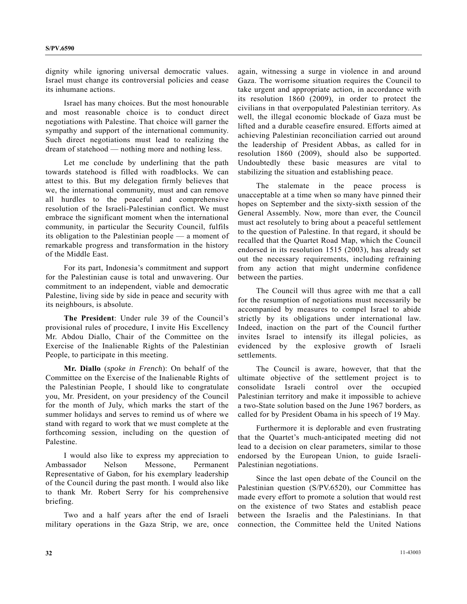dignity while ignoring universal democratic values. Israel must change its controversial policies and cease its inhumane actions.

 Israel has many choices. But the most honourable and most reasonable choice is to conduct direct negotiations with Palestine. That choice will garner the sympathy and support of the international community. Such direct negotiations must lead to realizing the dream of statehood — nothing more and nothing less.

 Let me conclude by underlining that the path towards statehood is filled with roadblocks. We can attest to this. But my delegation firmly believes that we, the international community, must and can remove all hurdles to the peaceful and comprehensive resolution of the Israeli-Palestinian conflict. We must embrace the significant moment when the international community, in particular the Security Council, fulfils its obligation to the Palestinian people — a moment of remarkable progress and transformation in the history of the Middle East.

 For its part, Indonesia's commitment and support for the Palestinian cause is total and unwavering. Our commitment to an independent, viable and democratic Palestine, living side by side in peace and security with its neighbours, is absolute.

 **The President**: Under rule 39 of the Council's provisional rules of procedure, I invite His Excellency Mr. Abdou Diallo, Chair of the Committee on the Exercise of the Inalienable Rights of the Palestinian People, to participate in this meeting.

 **Mr. Diallo** (*spoke in French*): On behalf of the Committee on the Exercise of the Inalienable Rights of the Palestinian People, I should like to congratulate you, Mr. President, on your presidency of the Council for the month of July, which marks the start of the summer holidays and serves to remind us of where we stand with regard to work that we must complete at the forthcoming session, including on the question of Palestine.

 I would also like to express my appreciation to Ambassador Nelson Messone, Permanent Representative of Gabon, for his exemplary leadership of the Council during the past month. I would also like to thank Mr. Robert Serry for his comprehensive briefing.

 Two and a half years after the end of Israeli military operations in the Gaza Strip, we are, once again, witnessing a surge in violence in and around Gaza. The worrisome situation requires the Council to take urgent and appropriate action, in accordance with its resolution 1860 (2009), in order to protect the civilians in that overpopulated Palestinian territory. As well, the illegal economic blockade of Gaza must be lifted and a durable ceasefire ensured. Efforts aimed at achieving Palestinian reconciliation carried out around the leadership of President Abbas, as called for in resolution 1860 (2009), should also be supported. Undoubtedly these basic measures are vital to stabilizing the situation and establishing peace.

 The stalemate in the peace process is unacceptable at a time when so many have pinned their hopes on September and the sixty-sixth session of the General Assembly. Now, more than ever, the Council must act resolutely to bring about a peaceful settlement to the question of Palestine. In that regard, it should be recalled that the Quartet Road Map, which the Council endorsed in its resolution 1515 (2003), has already set out the necessary requirements, including refraining from any action that might undermine confidence between the parties.

 The Council will thus agree with me that a call for the resumption of negotiations must necessarily be accompanied by measures to compel Israel to abide strictly by its obligations under international law. Indeed, inaction on the part of the Council further invites Israel to intensify its illegal policies, as evidenced by the explosive growth of Israeli settlements.

 The Council is aware, however, that that the ultimate objective of the settlement project is to consolidate Israeli control over the occupied Palestinian territory and make it impossible to achieve a two-State solution based on the June 1967 borders, as called for by President Obama in his speech of 19 May.

 Furthermore it is deplorable and even frustrating that the Quartet's much-anticipated meeting did not lead to a decision on clear parameters, similar to those endorsed by the European Union, to guide Israeli-Palestinian negotiations.

 Since the last open debate of the Council on the Palestinian question (S/PV.6520), our Committee has made every effort to promote a solution that would rest on the existence of two States and establish peace between the Israelis and the Palestinians. In that connection, the Committee held the United Nations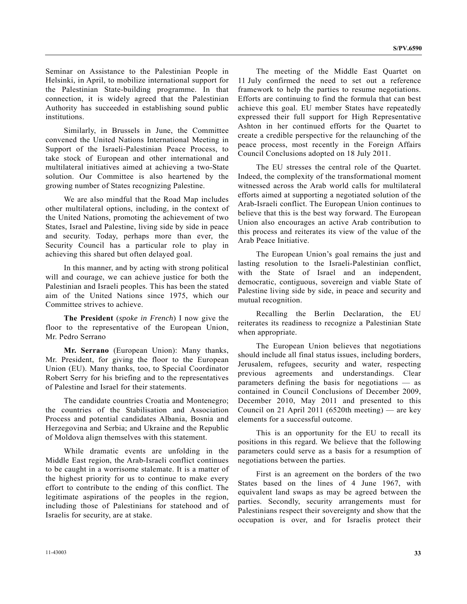Seminar on Assistance to the Palestinian People in Helsinki, in April, to mobilize international support for the Palestinian State-building programme. In that connection, it is widely agreed that the Palestinian Authority has succeeded in establishing sound public institutions.

 Similarly, in Brussels in June, the Committee convened the United Nations International Meeting in Support of the Israeli-Palestinian Peace Process, to take stock of European and other international and multilateral initiatives aimed at achieving a two-State solution. Our Committee is also heartened by the growing number of States recognizing Palestine.

 We are also mindful that the Road Map includes other multilateral options, including, in the context of the United Nations, promoting the achievement of two States, Israel and Palestine, living side by side in peace and security. Today, perhaps more than ever, the Security Council has a particular role to play in achieving this shared but often delayed goal.

 In this manner, and by acting with strong political will and courage, we can achieve justice for both the Palestinian and Israeli peoples. This has been the stated aim of the United Nations since 1975, which our Committee strives to achieve.

**The President** (*spoke in French*) I now give the floor to the representative of the European Union, Mr. Pedro Serrano

**Mr. Serrano** (European Union): Many thanks, Mr. President, for giving the floor to the European Union (EU). Many thanks, too, to Special Coordinator Robert Serry for his briefing and to the representatives of Palestine and Israel for their statements.

 The candidate countries Croatia and Montenegro; the countries of the Stabilisation and Association Process and potential candidates Albania, Bosnia and Herzegovina and Serbia; and Ukraine and the Republic of Moldova align themselves with this statement.

 While dramatic events are unfolding in the Middle East region, the Arab-Israeli conflict continues to be caught in a worrisome stalemate. It is a matter of the highest priority for us to continue to make every effort to contribute to the ending of this conflict. The legitimate aspirations of the peoples in the region, including those of Palestinians for statehood and of Israelis for security, are at stake.

 The meeting of the Middle East Quartet on 11 July confirmed the need to set out a reference framework to help the parties to resume negotiations. Efforts are continuing to find the formula that can best achieve this goal. EU member States have repeatedly expressed their full support for High Representative Ashton in her continued efforts for the Quartet to create a credible perspective for the relaunching of the peace process, most recently in the Foreign Affairs Council Conclusions adopted on 18 July 2011.

 The EU stresses the central role of the Quartet. Indeed, the complexity of the transformational moment witnessed across the Arab world calls for multilateral efforts aimed at supporting a negotiated solution of the Arab-Israeli conflict. The European Union continues to believe that this is the best way forward. The European Union also encourages an active Arab contribution to this process and reiterates its view of the value of the Arab Peace Initiative.

 The European Union's goal remains the just and lasting resolution to the Israeli-Palestinian conflict, with the State of Israel and an independent, democratic, contiguous, sovereign and viable State of Palestine living side by side, in peace and security and mutual recognition.

 Recalling the Berlin Declaration, the EU reiterates its readiness to recognize a Palestinian State when appropriate.

 The European Union believes that negotiations should include all final status issues, including borders, Jerusalem, refugees, security and water, respecting previous agreements and understandings. Clear parameters defining the basis for negotiations — as contained in Council Conclusions of December 2009, December 2010, May 2011 and presented to this Council on 21 April 2011 (6520th meeting) — are key elements for a successful outcome.

 This is an opportunity for the EU to recall its positions in this regard. We believe that the following parameters could serve as a basis for a resumption of negotiations between the parties.

 First is an agreement on the borders of the two States based on the lines of 4 June 1967, with equivalent land swaps as may be agreed between the parties. Secondly, security arrangements must for Palestinians respect their sovereignty and show that the occupation is over, and for Israelis protect their